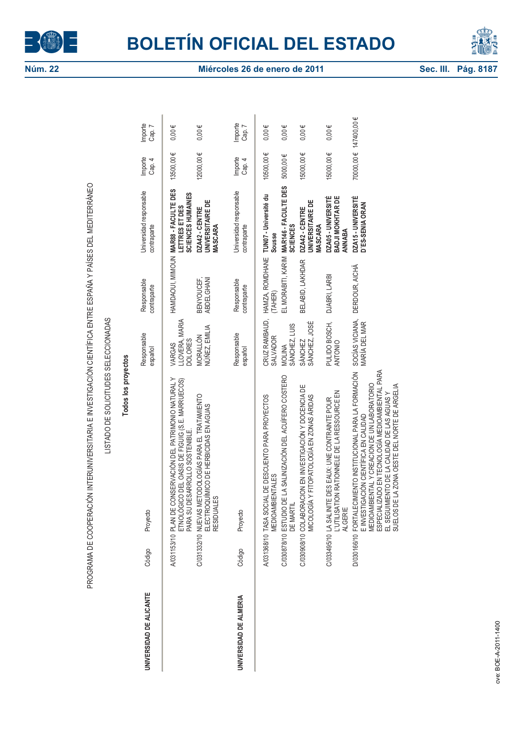

PROGRAMA DE COOPERACIÓN INTERUNIVERSITARIA E INVESTIGACIÓN CIENTÍFICA ENTRE ESPAÑA Y PAÍSES DEL MEDITERRÁNEO



|                         |                       | PROGRAMA DE COOPERACIÓN INTERUNIVERSITARIA E INVESTIGACIÓN CIENTÍFICA ENTRE ESPAÑA Y PAÍSES DEL MEDITERRÁNEO<br>LISTADO DE SOLICITUDES SELECCIONADAS                                                                                                                                                  |                                            |                            |                                                             |                       |                   |
|-------------------------|-----------------------|-------------------------------------------------------------------------------------------------------------------------------------------------------------------------------------------------------------------------------------------------------------------------------------------------------|--------------------------------------------|----------------------------|-------------------------------------------------------------|-----------------------|-------------------|
|                         |                       | Todos los proyectos                                                                                                                                                                                                                                                                                   |                                            |                            |                                                             |                       |                   |
| UNIVERSIDAD DE ALICANTE | Código                | Proyecto                                                                                                                                                                                                                                                                                              | Responsable<br>español                     | Responsable<br>contraparte | Universidad responsable<br>contraparte                      | Importe<br>Cap. 4     | Importe<br>Cap. 7 |
|                         | A/031153/10           | PLAN DE CONSERVACIÓN DEL PATRIMONIO NATURAL Y<br>ETNOLÓGICO DEL OASIS DE FIGUIG (S.E. MARRUECOS)<br>PARA SU DESARROLLO SOSTENIBLE.                                                                                                                                                                    | LLOVERA, MARIA<br><b>DOLORES</b><br>VARGAS | HAMDAOUI, MIMOUN           | MAR88 - FACULTE DES<br>SCIENCES HUMAINES<br>LETTRES ET DES  | 13500,00€             | $0,00 \in$        |
|                         |                       | C/031332/10 NUEVAS METODOLOGÍAS PARA EL TRATAMIENTO<br>ELECTROQUÍMICO DE HERBICIDAS EN AGUAS<br><b>RESIDUALES</b>                                                                                                                                                                                     | NÚÑEZ, EMILIA<br>MORALLÓN                  | BENYOUCEF,<br>ABDELGHANI   | <b>UNIVERSITAIRE DE</b><br>DZA42 - CENTRE<br><b>MASCARA</b> | 12000,00€             | $0,00 \in$        |
| UNIVERSIDAD DE ALMERIA  | Código                | Proyecto                                                                                                                                                                                                                                                                                              | Responsable<br>español                     | Responsable<br>contraparte | Universidad responsable<br>contraparte                      | Importe<br>Cap. 4     | Importe<br>Cap. 7 |
|                         | A/031368/10 TASA SOCI | AL DE DESCUENTO PARA PROYECTOS<br><b>MEDIOAMBIENTALES</b>                                                                                                                                                                                                                                             | CRUZ RAMBAUD,<br><b>SALVADOR</b>           | HAMZA, ROMDHANE<br>(TAHER) | TUNO7 - Université du<br><b>Sousse</b>                      | 10500,00€             | $0,00 \in$        |
|                         | C/030878/10 ESTUDIO D | E LA SALINIZACIÓN DEL ACUÍFERO COSTERO<br>DE MARTIL                                                                                                                                                                                                                                                   | SÁNCHEZ, LUIS<br><b>MOLINA</b>             | EL MORABITI, KARIM         | MAR146 - FACULTE DES<br><b>SCIENCES</b>                     | 5000,00€              | $0,00 \in$        |
|                         |                       | C/030908/10 COLABORACION EN INVESTIGACIÓN Y DOCENCIA DE<br>MICOLOGÍA Y FITOPATOLIOGÍA EN ZONAS ÁRIDAS                                                                                                                                                                                                 | SÁNCHEZ, JOSÉ<br><b>SÁNCHEZ</b>            | BELABID, LAKHDAR           | UNIVERSITAIRE DE<br>DZA42 - CENTRE<br><b>MASCARA</b>        | 15000,00€             | $0,00 \in$        |
|                         |                       | L'UTILISATION RATIONNELE DE LA RESSOURCE EN<br>C/033495/10 LA SALINITE DES EAUX: UNE CONTRAINTE POUR<br><b>ALGERIE</b>                                                                                                                                                                                | PULIDO BOSCH,<br><b>ANTONIO</b>            | DJABRI, LARBI              | <b>DZA05 - UNIVERSITÉ<br/>BADJI MOKHTAR DE</b><br>ANNABA    | 15000,00€             | $0,00 \in$        |
|                         |                       | ESPECIALIZADO EN TECNOLOGÍA MEDIOAMBIENTAL PARA<br>EL SEGUIMIENTO DE LA CALIDAD DE LAS AGUAS Y<br>SUELOS DE LA ZONA OESTE DEL NORTE DE ARGELIA<br>D/030166/10 FORTALECIMIENTO INSTITUCIONAL PARA LA FORMACIÓN<br>MEDIOAMBIENTAL Y CREACION DE UN LABORATORIO<br>E INVESTIGACIÓN CIENTÍFICA EN CALIDAD | SOCÍAS VICIANA,<br>MARÍA DEL MAR           | DERDOUR, AICHÄ             | DZA15 - UNIVERSITÉ<br>D'ES-SENIA ORAN                       | 70000,00€ 147400,00 € |                   |
|                         |                       |                                                                                                                                                                                                                                                                                                       |                                            |                            |                                                             |                       |                   |
| we BOF-4-2011-1400      |                       |                                                                                                                                                                                                                                                                                                       |                                            |                            |                                                             |                       |                   |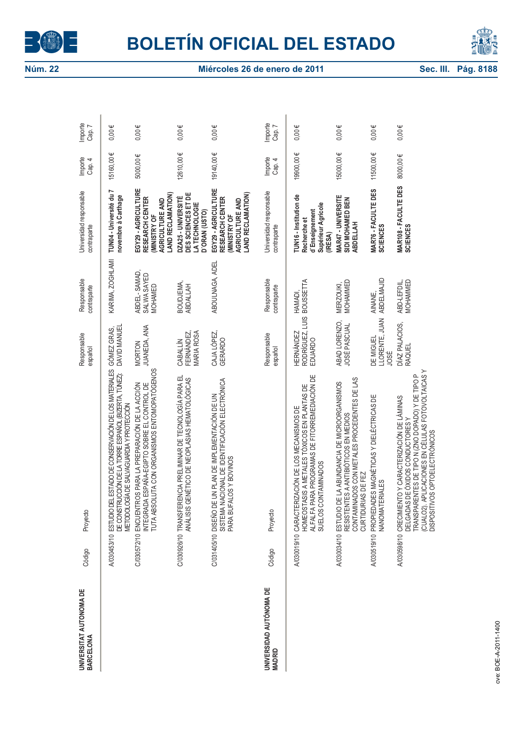



| UNIVERSITAT AUTONOMA DE<br>BARCELONA     | Código | Proyecto                                                                                                                                                                                                                          | Responsable<br>español               | Responsable<br>contraparte             | Universidad responsable<br>contraparte                                                                | Importe<br>Cap. 4 | Importe<br>$\overline{ }$<br>Cap. |
|------------------------------------------|--------|-----------------------------------------------------------------------------------------------------------------------------------------------------------------------------------------------------------------------------------|--------------------------------------|----------------------------------------|-------------------------------------------------------------------------------------------------------|-------------------|-----------------------------------|
|                                          |        | A/030453/10 ESTUDIO DEL ESTADO DE CONSERVACIÓN DE LOS MATERIALES<br>DE CONSTRUCCIÓN DE LA TORRE ESPAÑOL (BIZERTA, TÚNEZ):<br>METODOLOGÍA DE SALVAGUARDIA Y PROTECCIÓN                                                             | GÓMEZ GRAS,<br>DAVID MANUEL          | KARIMA, ZOGHLAMI                       | Ľ<br>TUN04 - Université du<br>novembre à Carthage                                                     | 15160,00€         | $0.00 \in$                        |
|                                          |        | TUTA ABSOLUTA CON ORGANISMOS ENTOMOPATÓGENOS<br>C/030572/10 ENCUENTROS PARA LA PREPARACIÓN DE LA ACCIÓN<br>INTEGRADA ESPAÑA-EGIPTO SOBRE EL CONTROL DE                                                                            | JUANEDA, ANA<br><b>MORTON</b>        | ABDEL-SAMAD,<br>SALWA SAYED<br>MOHAMED | EGY29-AGRICULTURE<br><b>LAND RECLAMATION)</b><br>RESEARCH CENTER<br>AGRICULTURE AND<br>(MINISTRY OF   | 5000,00€          | $0,00 \in$                        |
|                                          |        | FRENCIA PRELIMINAR DE TECNOLOGÍA PARA EL<br>GENÉTICO DE NEOPLASIAS HEMATOLÓGICAS<br>C/030926/10 TRANSFE<br><b>ANÁLISIS</b>                                                                                                        | FERNÁNDEZ,<br>MARIA ROSA<br>CABALLÍN | BOUDJEMA,<br><b>ABDALLAH</b>           | DES SCIENCES ET DE<br>DZA25-UNIVERSITÉ<br>LA TECHNOLOGIE<br>D'ORAN (USTO)                             | 12610,00€         | $0.00 \in$                        |
|                                          |        | C/031405/10 DISEÑO DE UN PLAN DE IMPLEMENTACIÓN DE UN<br>SISTEMA NACIONAL DE IDENTIFICACIÓN ELECTRÓNICA<br>PARA BUFALOS Y BOVINOS                                                                                                 | CAJA LÓPEZ,<br>GERARDO               | ABOULNAGA, ADEL                        | EGY29 - AGRICULTURE<br>LAND RECLAMATION)<br>RESEARCH CENTER<br>AGRICULTURE AND<br><b>IMINISTRY OF</b> | 19140,00€         | $0.00 \in$                        |
| UNIVERSIDAD AUTÓNOMA DE<br><b>MADRID</b> | Código | Proyecto                                                                                                                                                                                                                          | Responsable<br>español               | Responsable<br>contraparte             | Universidad responsable<br>contraparte                                                                | Importe<br>Cap. 4 | Importe<br>Cap. 7                 |
|                                          |        | ALFALFA PARA PROGRAMAS DE FITORREMEDIACIÓN DE<br>HOMEOSTASIS A METALES TÓXICOS EN PLANTAS DE<br>A/030019/10 CARACTERIZACIÓN DE LOS MECANISMOS DE<br><b>CONTAMINADOS</b><br>SUELOS                                                 |                                      |                                        | TUN16 - Institution de<br>Supérieur Agricole<br>d'Enseignement<br>Recherche et<br>(IRESA)             | 19900,00€         | $0,00 \in$                        |
|                                          |        | RESISTENTES A ANTIBIÓTICOS EN MEDIOS<br>CONTAMINADOS CON METALES PROCEDENTES DE LAS<br>DE LA ABUNDANCIA DE MICROORGANISMOS<br>CURTIDURIAS DE FEZ<br>A030034/10 ESTUDIO                                                            | ABAD LORENZO,<br>JOSÉ PASCUAL        | MOHAMMED<br>MERZOUKI,                  | MAR47 - UNIVERSITE<br>SIDI MOHAMED BEN<br><b>ABDELLAH</b>                                             | 15000,00€         | $0,00 \in$                        |
|                                          |        | A/030519/10 PROPIEDADES MAGNÉTICAS Y DIELÉCTRICAS DE<br><b>NANOMATERIALES</b>                                                                                                                                                     | LLORENTE, JUAN<br>DE MIGUEL<br>JOSÉ  | AINANE,<br>ABDELMAJID                  | <b>MAR76 - FACULTE DES<br/>SCIENCES</b>                                                               | 11500,00€         | $0,00 \in$                        |
|                                          |        | TRANSPARENTES DE TIPO N (ZNO DOPADO) Y DE TIPO P<br>(CUALO2). APLICACIONES EN CÉLULAS FOTOVOLTAICAS Y<br>A/0396/10  CRECIMIENTO Y CARACTERIZACIÓN DE LÁMINAS<br>DELGADAS DE ÓXIDOS CONDUCTORES Y<br>DISPOSITIVOS OPTOELECTRÓNICOS | DÍAZ PALACIOS,<br><b>RAQUEL</b>      | MOHAMMED<br>ABD-LEFDIL,                | MAR108 - FACULTE DES<br><b>SCIENCES</b>                                                               | 8000,00€          | $0,00 \in$                        |
|                                          |        |                                                                                                                                                                                                                                   |                                      |                                        |                                                                                                       |                   |                                   |
| ve: ROE-4-2011-1400                      |        |                                                                                                                                                                                                                                   |                                      |                                        |                                                                                                       |                   |                                   |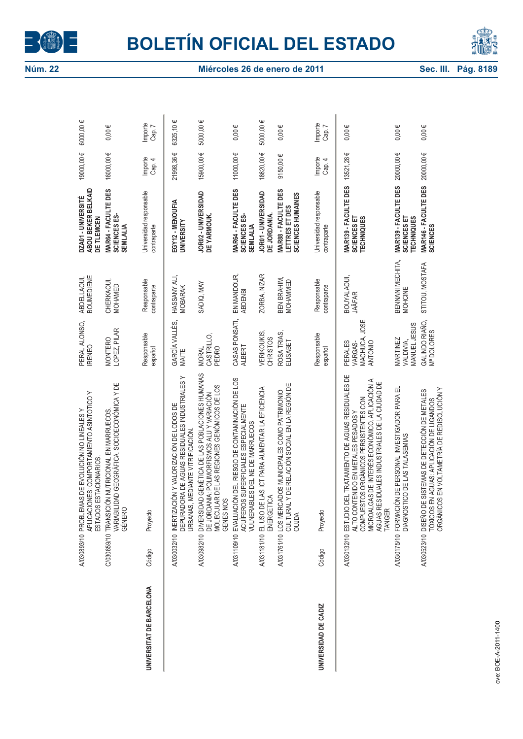



|                          | VARIABILIDAD GEOGRÁFICA, SOCIOECONÓMICA Y DE<br>APLICACIONES: COMPORTAMIENTO ASINTOTICO Y<br><b>IAS DE EVOLUCIÓN NO LINEALES Y</b><br>C/030659/10 TRANSICIÓN NUTRICIONAL EN MARRUECOS<br>ESTADOS ESTACIONARIOS.<br>GÉNERO<br>A/030893/10 PROBLEM              | PERAL ALONSO,<br>LOPEZ, PILAR<br>MONTERO<br><b>IRENEO</b> | <b>BOUMEDIENE</b><br>ABDELLAOUI,<br>CHERKAOUI,<br>MOHAMED | ABOU BEKER BELKAID<br>MAR64 - FACULTE DES<br>DZA01-UNIVERSITÉ<br>SCIENCES ES-<br>DE TLEMCEN<br><b>SEMLALIA</b> | 19000,00€<br>16000,00€ | 6000,00 €<br>$0,00 \in$ |
|--------------------------|---------------------------------------------------------------------------------------------------------------------------------------------------------------------------------------------------------------------------------------------------------------|-----------------------------------------------------------|-----------------------------------------------------------|----------------------------------------------------------------------------------------------------------------|------------------------|-------------------------|
| UNIVERSITAT DE BARCELONA | Proyecto<br>Código                                                                                                                                                                                                                                            | Responsable<br>español                                    | Responsable<br>contraparte                                | Universidad responsable<br>contraparte                                                                         | Importe<br>Cap. 4      | Importe<br>Cap. 7       |
|                          | OORA DE AGUAS RESIDUALES INDUSTRIALES Y<br>A/030032/10 INERTIZACIÓN Y VALORIZACIÓN DE LODOS DE<br>URBANAS, MEDIANTE VITRIFICACIÓN.<br><b>DEPURAL</b>                                                                                                          | GARCÍA VALLÉS,<br>MAITE                                   | HASSANY ALI,<br><b>MOBARAK</b>                            | EGY12 - MENOUFIA<br>UNIVERSITY                                                                                 | 21998,36€              | 6325,10€                |
|                          | A/030982/10 DIVERSIDAD GENÉTICA DE LAS POBLACIONES HUMANAS<br>DE JORDANIA: POLIMORFISMOS ALU Y VARIACIÓN<br>MOLECULAR DE LAS REGIONES GENÓMICOS DE LOS<br>GENES NOS                                                                                           | CASTRILLO,<br>PEDRO<br><b>MORAL</b>                       | SADIQ, MAY                                                | JOR02 - UNIVERSIDAD<br>DE YARMOUK.                                                                             | 15900,00€              | 5000,00€                |
|                          | A/031109/10 EVALUACIÓN DEL RIESGO DE CONTAMINACIÓN DE LOS<br>ACUÍFEROS SUPERFICIALES ESPECIALMENTE<br>VULNERABLES DEL NE DE MARRUECOS                                                                                                                         | CASAS PONSATI,<br>ALBERT                                  | EN MANDOUR,<br><b>ABDENBI</b>                             | MAR64 - FACULTE DES<br>SCIENCES ES-<br><b>SEMLALIA</b>                                                         | 11000,00€              | $0,00 \in$              |
|                          | A/031181/10 EL USO DE LAS ICT PARA AUMENTAR LA EFICIENCIA<br>ENERGETICA                                                                                                                                                                                       | VERIKOUKIS,<br><b>CHRISTOS</b>                            | ZORBA, NIZAR                                              | JOR01 - UNIVERSIDAD<br>DE JORDANIA.                                                                            | 18620,00€              | 5000,00€                |
|                          | CULTURAL Y DE RELACIÓN SOCIAL EN LA REGIÓN DE<br>A/031761/10 LOS MERCADOS MUNICIPALES COMO PATRIMONIO<br><b>OUJDA</b>                                                                                                                                         | ROSA TRIAS,<br>ELISABET                                   | BEN BRAHIM,<br>MOHAMMED                                   | MAR88 - FACULTE DES<br>SCIENCES HUMAINES<br>LETTRES ET DES                                                     | $9150,00 \in$          | $0,00 \in$              |
| UNIVERSIDAD DE CADIZ     | Proyecto<br>Código                                                                                                                                                                                                                                            | Responsable<br>español                                    | Responsable<br>contraparte                                | Universidad responsable<br>contraparte                                                                         | Importe<br>Cap. 4      | Importe<br>Cap. 7       |
|                          | A/030132/10 ESTUDIO DEL TRATAMIENTO DE AGUAS RESIDUALES DE<br>MICROALGAS DE INTERÉS ECONÓMICO. APLICACIÓN A<br>AGUAS RESIDUALES INDUSTRIALES DE LA CIUDAD DE<br>COMPUESTOS ORGÁNICOS PERSISTENTES CON<br>ALTO CONTENIDO EN METALES PESADOS Y<br><b>TANGER</b> | MACHUCA, JOSE<br>PERALES<br>ANTONIO<br>VARGAS-            | BOUYALAOUI,<br><b>JAÂFAR</b>                              | MAR139 - FACULTE DES<br>SCIENCES ET<br><b>TECHNIQUES</b>                                                       | 13521,28€              | $0,00 \in$              |
|                          | A/030/175/10 FORMACIÓN DE PERSONAL INVESTIGADOR PARA EL<br>DIAGNOSTICO DE LAS TALASEMIAS                                                                                                                                                                      | <b>MANUEL JESUS</b><br>MARTINEZ<br>VALDIVIA,              | BENNANI MECHITA,<br>MOHCINE                               | MAR139 - FACULTE DES<br>SCIENCES ET<br><b>TECHNIQUES</b>                                                       | 20000,00€              | $0,00 \in$              |
|                          | TÓXICOS EN AGUAS: APLICACIÓN DE LIGANDOS<br>ORGÁNICOS EN VOLTAMETRÍA DE REDISOLUCIÓN Y<br>JE SISTEMAS DE DETECCIÓN DE METALES<br>A/030523/10 DISEÑO D                                                                                                         | GALINDO RIAÑO,<br>Mª DOLORES                              | STITOU, MOSTAFA                                           | MAR146 - FACULTE DES<br><b>SCIENCES</b>                                                                        | 20000,00€              | $0,00 \in$              |
| ve: ROE-4-2011-1400      |                                                                                                                                                                                                                                                               |                                                           |                                                           |                                                                                                                |                        |                         |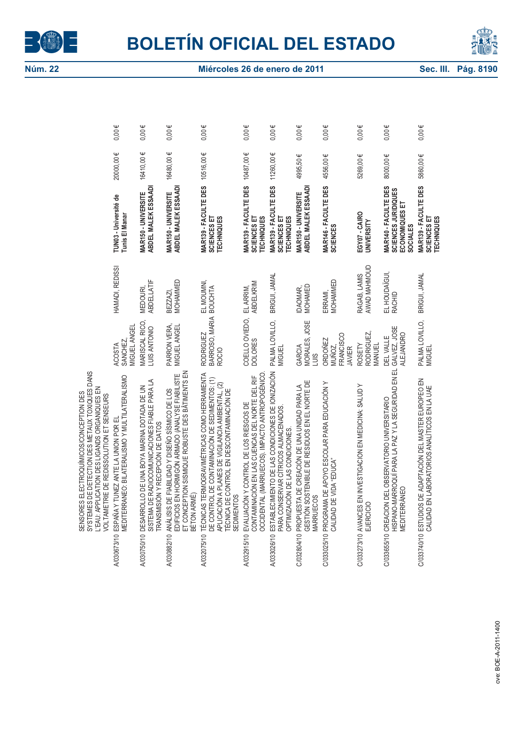



|                                                                                                                                                                                              |                                                                                                      | Ψ                                                                                                                                                     | Ψ                                                                                                                                                                                   |                                                                                                                                                                                                                                     | Ψ                                                                                                                                                        |                                                                                                                                           |                                                                                                                                        |                                                                                   |                                                                        |                                                                                                                                 |                                                                                                          |
|----------------------------------------------------------------------------------------------------------------------------------------------------------------------------------------------|------------------------------------------------------------------------------------------------------|-------------------------------------------------------------------------------------------------------------------------------------------------------|-------------------------------------------------------------------------------------------------------------------------------------------------------------------------------------|-------------------------------------------------------------------------------------------------------------------------------------------------------------------------------------------------------------------------------------|----------------------------------------------------------------------------------------------------------------------------------------------------------|-------------------------------------------------------------------------------------------------------------------------------------------|----------------------------------------------------------------------------------------------------------------------------------------|-----------------------------------------------------------------------------------|------------------------------------------------------------------------|---------------------------------------------------------------------------------------------------------------------------------|----------------------------------------------------------------------------------------------------------|
|                                                                                                                                                                                              | $0,00 \in$                                                                                           | 0.00                                                                                                                                                  | 0.00                                                                                                                                                                                | $0,00 \in$                                                                                                                                                                                                                          | 0.00                                                                                                                                                     | $0.00 \in$                                                                                                                                | $0,00 \in$                                                                                                                             | $0,00 \in$                                                                        | $0,00 \in$                                                             | $0,00 \in$                                                                                                                      | $0,00 \in$                                                                                               |
|                                                                                                                                                                                              | 20000,00€                                                                                            | 16410,00€                                                                                                                                             | 16480,00 €                                                                                                                                                                          | 10516,00€                                                                                                                                                                                                                           | 10487,00€                                                                                                                                                |                                                                                                                                           | 4995,50€                                                                                                                               | 4556,00€                                                                          | 5269,00€                                                               | 8000,00€                                                                                                                        | 5860,00€                                                                                                 |
|                                                                                                                                                                                              | TUNO3 - Université de<br>Tunis El Manar                                                              | ABDEL MALEK ESSAADI<br>MAR150 - UNIVERSITE                                                                                                            | ABDEL MALEK ESSAADI<br>MAR150 - UNIVERSITE                                                                                                                                          | MAR139 - FACULTE DES<br>SCIENCES ET<br><b>TECHNIQUES</b>                                                                                                                                                                            | MAR139 - FACULTE DES<br>SCIENCES ET<br>TECHNIQUES                                                                                                        | MAR139 - FACULTE DES $11260,00 \in$<br><b>TECHNIQUES</b><br>SCIENCES ET                                                                   | ABDEL MALEK ESSAADI<br>MAR150 - UNIVERSITE                                                                                             | MAR146 - FACULTE DES<br><b>SCIENCES</b>                                           | EGY07 - CAIRO<br>UNIVERSITY                                            | MAR140 - FACULTE DES<br>SCIENCES<br>JURIDIQUES<br>ECONOMIQUES ET<br><b>SOCIALES</b>                                             | MAR139 - FACULTE DES<br><b>TECHNIQUES</b><br>SCIENCES ET                                                 |
|                                                                                                                                                                                              | HAMADI, REDISSI                                                                                      | <b>ABDELLATIF</b><br><b>MEDOURI</b>                                                                                                                   | MOHAMMED<br><b>BEZZAZI</b>                                                                                                                                                          | EL MOUMNI                                                                                                                                                                                                                           | <b>ABDELKRIM</b><br>EL ARRIM,                                                                                                                            | BRIGUI, JAMAL                                                                                                                             | MOHAMED<br>DAOMAR,                                                                                                                     | MOHAMMED<br>ERRAMI,                                                               | <b>AWAD MAHMOUD</b><br>RAGAB, LAMIS                                    | EL HOUDAÏGUI,<br><b>RACHID</b>                                                                                                  | BRIGUI, JAMAL                                                                                            |
|                                                                                                                                                                                              | <b>MIGUEL ANGEL</b><br>SANCHEZ.<br><b>ACOSTA</b>                                                     | MARISCAL RICO,<br>LUIS ANTONIO                                                                                                                        | PARRON VERA,<br>MIGUEL ANGEL                                                                                                                                                        | BARROSO, MARIA BOUCHTA<br><b>RODRIGUEZ</b><br><b>ROCIO</b>                                                                                                                                                                          | COELLO OVIEDO,<br><b>DOLORES</b>                                                                                                                         | PALMA LOVILLO,<br><b>MIGUEL</b>                                                                                                           | <b>MORALES, JOSE</b><br>GARCIA<br>SINT                                                                                                 | <b>FRANCISCO</b><br><b>ORDONEZ</b><br>MUÑOZ,<br><b>JAVIER</b>                     | RODRIGUEZ,<br><b>ROSETY</b><br><b>VIANUEL</b>                          | GALVEZ, JOSE<br><b>ALEJANDRO</b><br><b>DELVALLE</b>                                                                             | PALMA LOVILLO,<br><b>MIGUEL</b>                                                                          |
| SYSTEMES DE DETECTION DES METAUX TOXIQUES DANS<br>L'EAU: APPLICATION DES LIGANDS ORGANIQUES EN<br>SENSORES ELECTROQUÍMICOS/CONCEPTION DES<br><b>VOLTAMETRIE DE REDISSOLUTION ET SENSEURS</b> | MEDITERRANEO: BILATERALISMO Y MULTILATERALISMO<br>ESPAÑA Y TUNEZ ANTE LA UNION POR EL<br>A/030673/10 | SISTEMA DE RADIOCOMUNICACIONES FIABLE PARA LA<br>DESARROLLO DE UNA BOYA MARINA DOTADA DE UN<br><b>FRANSMISIÓN Y RECEPCIÓN DE DATOS</b><br>A/030750/10 | ET CONCEPTION SISMIQUE ROBUSTE DES BÂTIMENTS EN<br>EDIFICIOS EN HORMIGÓN ARMADO (ANALYSE FIABILISTE<br>ANÁLISIS DE FIABILIDAD Y DISEÑO SÍSMICO DE LOS<br>BÉTON ARMÉ)<br>A/030882/10 | TÉCNICAS TERMOGRAVIMÉTRICAS COMO HERRAMIENTA<br>DE CONTROL DE CONTAMINACIÓN DE SEDIMENTOS: (1)<br>APLICACIÓN A PLANES DE VIGILANCIA AMBIENTAL, (2)<br>TÉCNICA DE CONTROL EN DESCONTAMINACIÓN DE<br><b>SEDIMENTOS</b><br>A/032075/10 | OCCIDENTAL (MARRUECOS). IMPACTO ANTROPOGÉNICO<br>CONTAMINACIÓN EN LAS CUENCAS DEL NORTE DEL RIF<br>EVALUACIÓN Y CONTROL DE LOS RIESGOS DE<br>A/032915/10 | ESTABLECIMIENTO DE LAS CONDICIONES DE IONIZACIÓN<br>PARA CONSERVAR CÍTRICOS ALMACENADOS<br>OPTIMIZACIÓN DE LAS CONDICIONES<br>A/033026/10 | <b>GESTIÓN SOSTENIBLE DE RESIDUOS EN EL NORTE DE</b><br>PROPUESTA DE CREACIÓN DE UNA UNIDAD PARA LA<br><b>MARRUECOS</b><br>C/032804/10 | C/033025/10 PROGRAMA DE APOYO ESCOLAR PARA EDUCACIÓN Y<br>CALIDAD DE VIDA "EDUCA" | C/033273/10 AVANCES EN INVESTIGACION EN MEDICINA: SALUD Y<br>EJERCICIO | HISPANO-MARROQUÍ PARA LA PAZ Y LA SEGURIDAD EN EL<br>C/033655/10 CREACION DEL OBSERVATORIO UNIVERSITARIO<br><b>MEDITERRANEO</b> | C/033740/10 ESTUDIOS DE ADAPTACIÓN DEL MASTER EUROPEO EN<br>CALIDAD EN LABORATORIOS ANALÍTICOS EN LA UAE |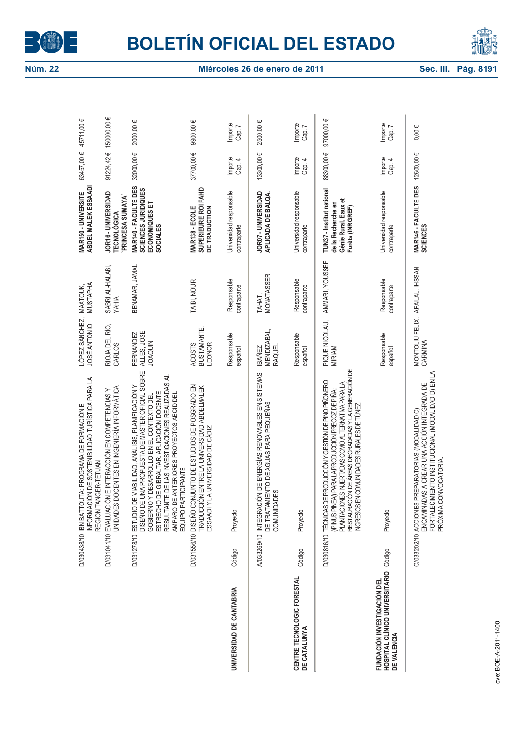



|                                                                              |             | INFORMACIÓN DE SOSTENIBILIDAD TURÍSTICA PARA LA<br>D/030438/10 IBN BATTOUTA: PROGRAMA DE FORMACIÓN E<br>REGION TANGER-TETUAN                                                                                                                                                                                                      | LÓPEZ SÁNCHEZ,<br>JOSÉ ANTONIO               | MUSTAPHA<br>MAATOUK,        | ABDEL MALEK ESSAADI<br>MAR150 - UNIVERSITE                                                  | 63457,00€            | 45711,00€         |
|------------------------------------------------------------------------------|-------------|-----------------------------------------------------------------------------------------------------------------------------------------------------------------------------------------------------------------------------------------------------------------------------------------------------------------------------------|----------------------------------------------|-----------------------------|---------------------------------------------------------------------------------------------|----------------------|-------------------|
|                                                                              |             | DOCENTES EN INGENIERÍA INFORMÁTICA<br>D/031041/10 EVALUACIÓN E INTERACCIÓN EN COMPETENCIAS Y<br><b>UNIDADES</b>                                                                                                                                                                                                                   | RIOJA DEL RÍO,<br><b>CARLOS</b>              | SABRI AL-HALABI,<br>YAHIA   | JOR16 - UNIVERSIDAD<br>PRINCESA SUMAYA<br><b>TECNOLÓGICA</b>                                | 91224,42€ 150000,00€ |                   |
|                                                                              | D/031278/10 | ESTUDIO DE VIABILIDAD, ANÁLISIS, PLANIFICACIÓN Y<br>DISEÑO DE UNA PROPUESTA DE MASTER OFICIAL SOBRE<br>RESULTANTE DE LAS INVESTIGACIONES REALIZADAS AL<br>ESTRECHO DE GIBRALTAR. APLICACIÓN DOCENTE<br>GOBIERNO Y DESARROLLO EN EL CONTEXTO DEL<br>E ANTERIORES PROYECTOS AECID DEL<br>EQUIPO PARTICIPANTE<br>ESTUDIO<br>AMPARO D | FERNANDEZ<br>ALLES, JOSE<br><b>JOAQUIN</b>   | BENAMAR, JAMAL              | MAR140 - FACULTE DES<br>SCIENCES<br>JURIDIQUES<br>ECONOMIQUES ET<br>SOCIALES                | 32000,00€            | 2000,00€          |
|                                                                              |             | D/031556/10 DISEÑO CONJUNTO DE ESTUDIOS DE POSGRADO EN<br>TRADUCCIÓN ENTRE LA UNIVERSIDAD ABDELMALEK<br>LA UNIVERSIDAD DE CÁDIZ<br>ESSAADIY                                                                                                                                                                                       | BUSTAMANTE,<br>ACOSTS<br>LEONOR              | TAIBI, NOUR                 | SUPERIEURE ROI FAHD<br>MAR138 - ECOLE<br>DE TRADUCTION                                      | 37700,00€            | 9900,00 €         |
| UNIVERSIDAD DE CANTABRIA                                                     | Código      | Proyecto                                                                                                                                                                                                                                                                                                                          | Responsable<br>español                       | Responsable<br>contraparte  | Universidad responsable<br>contraparte                                                      | Importe<br>Cap. 4    | Importe<br>Cap. 7 |
|                                                                              |             | A/033269/10 INTEGRACIÓN DE ENERGÍAS RENOVABLES EN SISTEMAS<br>DE TRATAMIENTO DE AGUAS PARA PEQUEÑAS<br>COMUNIDADES                                                                                                                                                                                                                | <b>MENDIZABAL</b><br>RAQUEL<br><b>IBAÑEZ</b> | <b>MONATASSER</b><br>ТАНАТ, | JOR07 - UNIVERSIDAD<br>APLICADA DE BALQA                                                    | 13300,00€            | 2500,00 €         |
| CENTRE TECNOLOGIC FORESTAL<br>DE CATALUNYA                                   | Código      | Proyecto                                                                                                                                                                                                                                                                                                                          | Responsable<br>español                       | Responsable<br>contraparte  | Universidad responsable<br>contraparte                                                      | Importe<br>Cap. 4    | Importe<br>Cap. 7 |
|                                                                              |             | RESTAURACIÓN DE ÁREAS DEGRADADAS Y LA GENERACIÓN DE<br>INGRESOS EN COMUNIDADES RURALES DE TÚNEZ<br>D/030816/10 TÉCNICAS DE PRODUCCIÓN Y GESTIÓN DE PINO PIÑONERO<br>PLANTACIONES INJERTADAS COMO ALTERNATIVA PARA LA<br>(/PINUS PINEA) PARA LA PRODUCCIÓN PRECOZ DE PIÑA:                                                         | PIQUE NICOLAU,<br>MIRIAM                     | AMMARI, YOUSSEF             | TUN37 - Institut national<br>Génie Rural. Eaux et<br>de la Recherche en<br>Forêts (INRGREF) | 88300,00€            | 97000,00€         |
| HOSPITAL CLÍNICO UNIVERSITARIO<br>FUNDACIÓN INVESTIGACIÓN DEL<br>DE VALENCIA | Código      | Proyecto                                                                                                                                                                                                                                                                                                                          | Responsable<br>español                       | Responsable<br>contraparte  | Universidad responsable<br>contraparte                                                      | Importe<br>Cap. 4    | Importe<br>Cap. 7 |
|                                                                              |             | FORTALECIMIENTO INSTITUCIONAL (MODALIDAD D) EN LA<br>DAS A CREAR UNA ACCIÓN INTEGRADA DE<br>PREPARATORIAS (MODALIDAD C)<br>PRÓXIMA CONVOCATORIA.<br>C/033202/10 ACCIONES<br>ENCAMINA                                                                                                                                              | MONTOLIU FELIX, AFAILAL, IHSSAN<br>CARMINA   |                             | MAR146 - FACULTE DES<br><b>SCIENCES</b>                                                     | 12600,00€            | $0,00 \in$        |
| nue: ROE-4-2011-1400                                                         |             |                                                                                                                                                                                                                                                                                                                                   |                                              |                             |                                                                                             |                      |                   |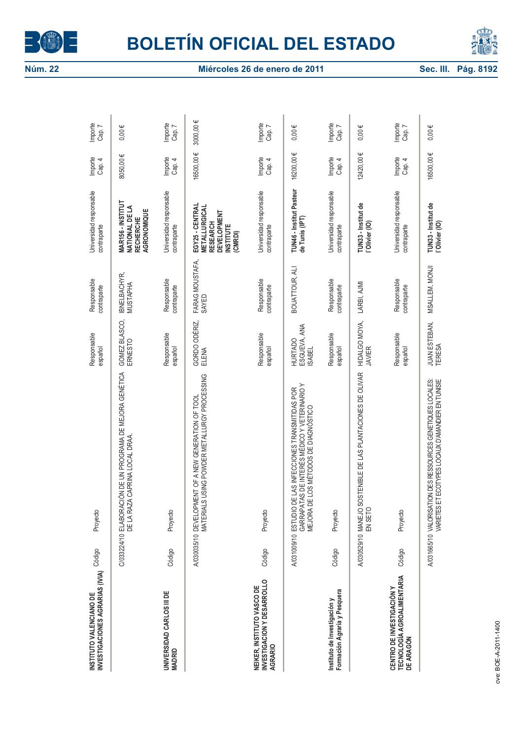



| INVESTIGACIONES AGRARIAS (IVIA)<br>INSTITUTO VALENCIANO DE                  | Código | Proyecto                                                                                                                                           | Responsable<br>español                   | Responsable<br>contraparte | Universidad responsable<br>contraparte                                                                  | Importe<br>Cap. 4 | Importe<br>Cap. 7 |
|-----------------------------------------------------------------------------|--------|----------------------------------------------------------------------------------------------------------------------------------------------------|------------------------------------------|----------------------------|---------------------------------------------------------------------------------------------------------|-------------------|-------------------|
|                                                                             |        | C/03324/10 ELABORACIÓN DE UN PROGRAMA DE MEJORA GENÉTICA<br>DE LA RAZA CAPRINA LOCAL DRAA.                                                         | GOMEZ BLASCO,<br>ERNESTO                 | IBNELBACHYR,<br>MUSTAPHA   | MAR156 - INSTITUT<br>NATIONAL DE LA<br>AGRONOMIQUE<br><b>RECHERCHE</b>                                  | 8050,00€          | $0,00 \in$        |
| UNIVERSIDAD CARLOS III DE<br><b>MADRID</b>                                  | Código | Proyecto                                                                                                                                           | Responsable<br>español                   | Responsable<br>contraparte | Universidad responsable<br>contraparte                                                                  | Importe<br>Cap. 4 | Importe<br>Cap. 7 |
|                                                                             |        | MATERIALS USING POWDER METALLURGY PROCESSING<br>A/030035/10 DEVELOPMENT OF A NEW GENERATION OF TOOL                                                | GORDO ODÉRIZ,<br>ELENA                   | FARAG MOUSTAFA,<br>SAYED   | EGY25 - CENTRAL<br>METALLURGICAL<br><b>DEVELOPMENT</b><br><b>RESEARCH</b><br><b>NSTITUTE</b><br>(CMRDI) | 16500,00 €        | 3000,00€          |
| INVESTIGACION Y DESARROLLO<br>NEIKER, INSTITUTO VASCO DE<br>AGRARIO         | Código | Proyecto                                                                                                                                           | Responsable<br>español                   | Responsable<br>contraparte | Universidad responsable<br>contraparte                                                                  | Importe<br>Cap. 4 | Importe<br>Cap. 7 |
|                                                                             |        | GARRAPATAS DE INTERÉS MÉDICO Y VETERINARIO Y<br>MEJORA DE LOS MÉTODOS DE DIAGNÓSTICO<br>DE LAS INFECCIONES TRANSMITIDAS POR<br>A/031009/10 ESTUDIO | ESGUEVA, ANA<br>ISABEL<br><b>HURTADO</b> | BOUATTOUR, ALI             | TUN46 - Institut Pasteur<br>de Tunis (IPT)                                                              | 16200,00 €        | $0,00 \in$        |
| Formación Agraria y Pesquera<br>Instituto de Investigación y                | Código | Proyecto                                                                                                                                           | Responsable<br>español                   | Responsable<br>contraparte | Universidad responsable<br>contraparte                                                                  | Importe<br>Cap. 4 | Importe<br>Cap. 7 |
|                                                                             |        | A/030529/10 MANEJO SOSTENIBLE DE LAS PLANTACIONES DE OLIVAR<br>EN SETO                                                                             | HIDALGO MOYA,<br><b>JAVIER</b>           | LARBI, AJMI                | TUN33 - Institut de<br>l'Olivier (IO)                                                                   | 12420,00€         | $0,00 \in$        |
| <b>TECNOLOGÍA AGROALIMENTARIA</b><br>CENTRO DE INVESTIGACIÓN Y<br>DE ARAGÓN | Código | Proyecto                                                                                                                                           | Responsable<br>español                   | Responsable<br>contraparte | Universidad responsable<br>contraparte                                                                  | Importe<br>Cap. 4 | Importe<br>Cap. 7 |
|                                                                             |        | A/031665/10 VALORISATION DES RESSOURCES GENETIQUES LOCALES:<br>VARIETES ET ECOTYPES LOCAUX D'AMANDIER EN TUNISIE                                   | JUAN ESTEBAN,<br><b>TERESA</b>           | MSALLEM, MONJI             | TUN33 - Institut de<br>l'Olivier (IO)                                                                   | 16500,00€         | $0,00 \in$        |
| nue: BOE-4-2011-1400                                                        |        |                                                                                                                                                    |                                          |                            |                                                                                                         |                   |                   |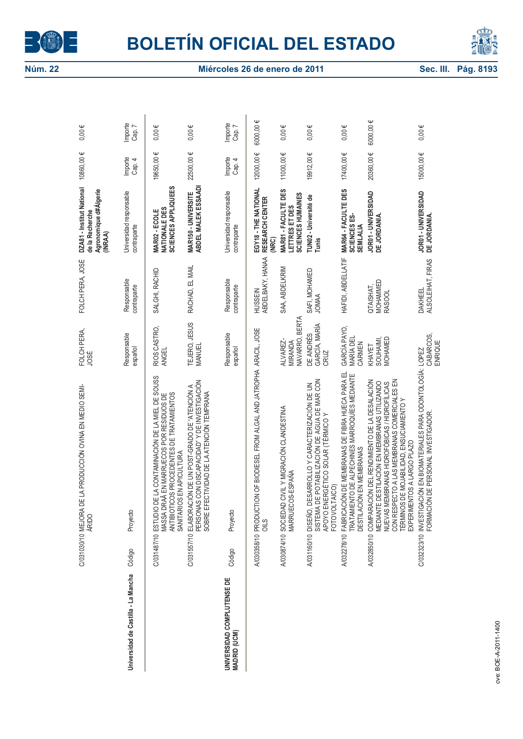



|                                            |                     | E LA PRODUCCIÓN OVINA EN MEDIO SEMI-<br>C/031030/10 MEJORA D<br>ÁRIDO                                                                                                                                                                                                             | FOLCH PERA,<br>JOSÉ                   | FOLCH PERA, JOSÉ                       | DZA81 - Institut National<br>Agronomique d#Algerie<br>de la Recherche<br>(INRAA) | 10860,00€         | $0,00 \in$        |
|--------------------------------------------|---------------------|-----------------------------------------------------------------------------------------------------------------------------------------------------------------------------------------------------------------------------------------------------------------------------------|---------------------------------------|----------------------------------------|----------------------------------------------------------------------------------|-------------------|-------------------|
| Universidad de Castilla - La Mancha        | Código              | Proyecto                                                                                                                                                                                                                                                                          | Responsable<br>español                | Responsable<br>contraparte             | Universidad responsable<br>contraparte                                           | Importe<br>Cap. 4 | Importe<br>Cap. 7 |
|                                            |                     | C/031487/10 ESTUDIO DE LA CONTAMINACIÓN DE LA MIEL DE SOUSS<br>ANTIBIOTICOS PROCEDENTES DE TRATAMIENTOS<br>MASSA DRAÂ EN MARRUECOS POR RESIDUOS DE<br>SANITARIOS EN APICULTURA                                                                                                    | RIOS CASTRO,<br><b>ANGEL</b>          | SALGHI, RACHID                         | SCIENCES APPLIQUEES<br>NATIONALE DES<br>MAR02 - ECOLE                            | 19650,00€         | $0,00 \in$        |
|                                            |                     | C/031557/10 ELABORACIÓN DE UN POST-GRADO DE "ATENCIÓN A<br>PERSONAS CON DISCAPACIDAD" Y DE INVESTIGACIÓN<br>SOBRE EFECTIVIDAD DE LA ATENCIÓN TEMPRANA                                                                                                                             | TEJERO, JESUS<br>MANUEL               | RACHAD, EL MAIL                        | <b>MAR150 - UNIVERSITE<br/>ABDEL MALEK ESSAADI</b>                               | 22500,00€         | $0,00 \in$        |
| UNIVERSIDAD COMPLUTENSE DE<br>MADRID (UCM) | Código              | Proyecto                                                                                                                                                                                                                                                                          | Responsable<br>español                | Responsable<br>contraparte             | Universidad responsable<br>contraparte                                           | Importe<br>Cap. 4 | Importe<br>Cap. 7 |
|                                            | A/030358/10 PRODUCT | ION OF BIODIESEL FROM ALGAL AND JATROPHA ARACIL, JOSE<br>$rac{3}{2}$                                                                                                                                                                                                              |                                       | ABDELBAKY, HANAA<br><b>HUSSEIN</b>     | EGY18 - THE NATIONAL<br>RESEARCH CENTER<br>(NRC)                                 | 12000,00€         | 6000,00€          |
|                                            |                     | A/030874/10 SOCIEDAD CIVILY MIGRACIÓN CLANDESTINA<br>MARRUECOS-ESPÁÑA                                                                                                                                                                                                             | NAVARRO, BERTA<br>ALVAREZ-<br>MIRANDA | SAA, ABDELKRIM                         | MAR81 - FACULTE DES<br>SCIENCES HUMAINES<br>LETTRES ET DES                       | 11000,00€         | $0,00 \in$        |
|                                            |                     | SISTEMA DE POTABILIZACIÓN DE AGUA DE MAR CON<br>APOYO ENERGÉTICO SOLAR (TÉRMICO Y<br>A/031160/10 DISEÑO, DESARROLLO Y CARACTERIZACIÓN DE UN<br>FOTOVOLTAICO)                                                                                                                      | GARCÍA, MARÍA<br>DE ANDRÉS<br>CRUZ    | SAFI, MOHAMED<br><b>JOMAA</b>          | TUN02 - Université de<br>Tunis                                                   | 19912,00€         | $0,00 \in$        |
|                                            |                     | A/032278/10 FABRICACIÓN DE MEMBRANAS DE FIBRA HUECA PARA EL<br>TRATAMIENTO DE ALPECHINES MARROQUÍES MEDIANTE<br>DESTILACIÓN EN MEMBRANAS                                                                                                                                          | GARCÍA PAYO,<br>MARÍA DEL<br>CARMEN   | HAFIDI, ABDELLATIF                     | MAR64 - FACULTE DES<br>SCIENCES ES-<br><b>SEMLALIA</b>                           | 17400,00€         | $0,00 \in$        |
|                                            |                     | CON RESPECTO A LAS MEMBRANAS COMERCIALES EN<br>A/032850/10 COMPARACIÓN DEL RENDIMIENTO DE LA DESALACIÓN<br>MEDIANTE DESTILACIÓN EN MEMBRANAS UTILIZANDO<br>NUEVAS MEMBRANAS HIDROFÓBICAS / HIDROFÍLICAS<br>TÉRMINOS DE MOJABILIDAD, ENSUCIAMIENTO Y<br>EXPERIMENTOS A LARGO PLAZO | MOHAMED<br>SOUHAIMI,<br>KHAYET        | MOHAMMED<br>QTAISHAT,<br><b>RASOOL</b> | JOR01 - UNIVERSIDAD<br>DE JORDANIA.                                              | 20360,00€         | 6000,00€          |
|                                            |                     | C/032323/10 INVESTIGACIÓN EN BIOMATERIALES PARA ODONTOLOGÍA: LOPEZ<br>FORMACIÓN DE PERSONAL INVESTIGADOR.                                                                                                                                                                         | CABARCOS,<br>ENRIQUE                  | ALSOLEIHAT, FIRAS<br><b>DAKHEEL</b>    | JOR01 - UNIVERSIDAD<br>DE JORDANIA.                                              | 15000,00€         | $0,00 \in$        |
| nue: ROE-4-2011-1400                       |                     |                                                                                                                                                                                                                                                                                   |                                       |                                        |                                                                                  |                   |                   |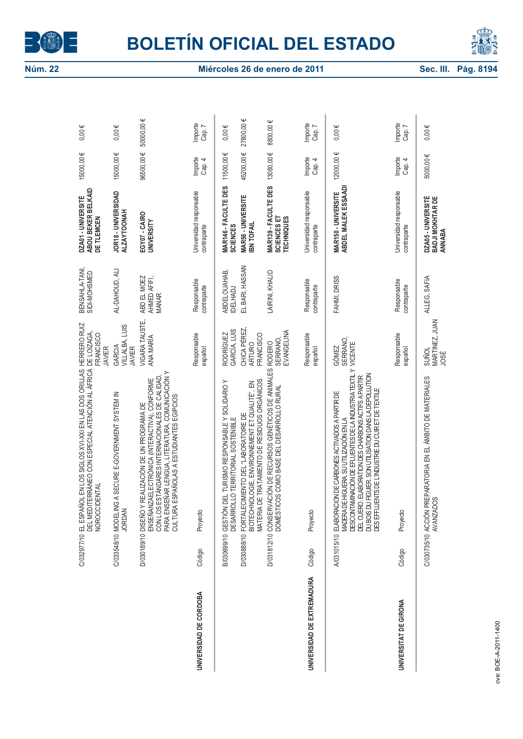



|                            |             | C/032977/10 EL ESPAÑOL EN LOS SIGLOS XVI-XXI EN LAS DOS ORILLAS<br>C/032977/10 EL ESPAÑOL EN LOS SIGLOS XVI-XXI EN LAS DOS ORILLAS<br>JENTAL<br>NOROCCID                                                                                                                                                                                          | HERRERO RUIZ<br>DE LOIZAGA,<br>FRANCISCO<br><b>JAVIER</b>              | BENSAHLA-TANI,<br>SIDI-MOHSMED              | DZA01 - UNIVERSITÉ<br>ABOU BEKER BELKAID<br>DE TLEMCEN                             | 15000,00€              | $0,00 \in$              |
|----------------------------|-------------|---------------------------------------------------------------------------------------------------------------------------------------------------------------------------------------------------------------------------------------------------------------------------------------------------------------------------------------------------|------------------------------------------------------------------------|---------------------------------------------|------------------------------------------------------------------------------------|------------------------|-------------------------|
|                            |             | C/033548/10 MODELING A SECURE E-GOVERNMENT SYSTEM IN<br><b>JORDAN</b>                                                                                                                                                                                                                                                                             | VILLALBA, LUIS<br>GARCIA<br><b>JAVIER</b>                              | AL-DAHOUD, ALI                              | JOR18 - UNIVERSIDAD<br><b>ALZAYTOONAH</b>                                          | 15000,00€              | $0,00 \in$              |
|                            |             | PARA ENSEÑAR LENGUA, LITERATURA, COMUNICACIÓN Y<br>CON LOS ESTÁNDARES INTERNACIONALES DE CALIDAD<br>ENSEÑANZAELECTRÓNICA (INTERACTIVA), CONFORME<br>ESPAÑOLAS A ESTUDIANTES EGIPCIOS<br>REALIZACIÓN DE UN PROGRAMA DE<br><b>CULTURA</b><br>D/030189/10 DISEÑO Y                                                                                   | VIGARA TAUSTE,<br>ANA MARÍA                                            | ABD EL MOEZ<br>AHMED AFIFI,<br><b>MANAR</b> | EGY07 - CAIRO<br>UNIVERSITY                                                        | 96500,00€              | 500000,00€              |
| UNIVERSIDAD DE CORDOBA     | Código      | Proyecto                                                                                                                                                                                                                                                                                                                                          | Responsable<br>español                                                 | Responsable<br>contraparte                  | Universidad responsable<br>contraparte                                             | Importe<br>Cap. 4      | Importe<br>Cap. 7       |
|                            | B/030699/10 | MATERIA DE TRATAMIENTO DE RESIDUOS ORGÁNICOS<br>GESTIÓN DEL TURISMO RESPONSABLE Y SOLIDARIO Y<br>BIOTECHNOLOGIE, ENVIRONNEMENT ET QUALITÉ", EN<br>D/030888/10 FORTALECIMIENTO DEL "LABORATOIRE DE<br>DESARROLLO TERRITORIAL SOSTENIBLE                                                                                                            | CHICA PÉREZ<br>GARCÍA, LUIS<br><b>RODRÍGUEZ</b><br>FRANCISCO<br>ARTURO | EL BARI, HASSAN<br>ABDELOUAHAB,<br>IDELHADJ | MAR146 - FACULTE DES<br>MAR56 - UNIVERSITE<br><b>IBN TOFAIL</b><br><b>SCIENCES</b> | 45200,00€<br>11500,00€ | 27800,00€<br>$0,00 \in$ |
|                            |             | D/031812/10 CONSERVACIÓN DE RECURSOS GENÉTICOS DE ANIMALES<br>DOMÉSTICOS COMO BASE DEL DESARROLLO RURAL                                                                                                                                                                                                                                           | EVANGELINA<br><b>SERRANO</b><br><b>RODERO</b>                          | LAIRINI, KHALID                             | MAR139 - FACULTE DES<br>SCIENCES ET<br>TECHNIQUES                                  | 13080,00€              | 8800,00€                |
| UNIVERSIDAD DE EXTREMADURA | Código      | Proyecto                                                                                                                                                                                                                                                                                                                                          | Responsable<br>español                                                 | Responsable<br>contraparte                  | Universidad responsable<br>contraparte                                             | Importe<br>Cap. 4      | Importe<br>Cap. 7       |
|                            |             | DESCONTAMMACIÓN DE EFLUENTES DE LA INDUSTRIA TEXTIL Y<br>DU BOIS DU FIGUIER. SON UTILISATION DANS LA DEPOLLUTION<br>DES EFFLUENTS DE L'INDUSTRIE DU CUR ET DE TEXTILE<br>DEL CUERO. ELABORATION DES CHARBONS ACTIFS A PARTIR<br>ELABORACION DE CARBONES ACTIVADOS A PARTIR DE<br>MADERA DE HIGUERA. SU UTILIZACIÓN EN LA<br>A/031015/10 ELABORACI | SERRANO,<br>VICENTE<br>GÓMEZ                                           | FAHMI, DRISS                                | ABDEL MALEK ESSAADI<br>MAR150 - UNIVERSITE                                         | 12000,00€              | $0,00 \in$              |
| UNIVERSITAT DE GIRONA      | Código      | Proyecto                                                                                                                                                                                                                                                                                                                                          | Responsable<br>español                                                 | Responsable<br>contraparte                  | Universidad responsable<br>contraparte                                             | Importe<br>Cap. 4      | Importe<br>Cap. 7       |
|                            |             | C/030735/10 ACCIÓN PREPARATORIA EN EL ÁMBITO DE MATERIALES<br>ഗ്ഗ<br>AVANZADC                                                                                                                                                                                                                                                                     | MARTINEZ, JUAN<br>suñoL<br>JOSÉ                                        | ALLEG, SAFIA                                | DZA05 - UNIVERSITÉ<br>BADJI MOKHTAR DE<br>ANNABA                                   | 5000,00€               | $0,00 \in$              |
| nve: ROE-4-2011-1400       |             |                                                                                                                                                                                                                                                                                                                                                   |                                                                        |                                             |                                                                                    |                        |                         |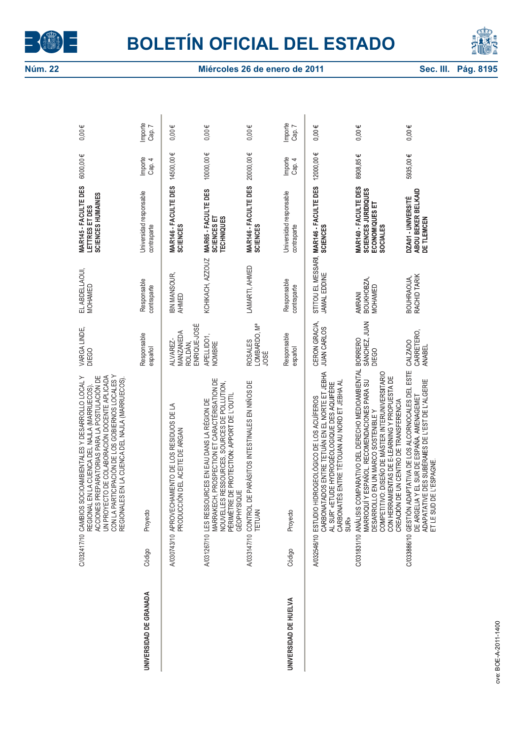



|                        |        | CON LA PARTICIPACIÓN DE LOS GOBIERNOS LOCALES Y<br>REGIONALES EN LA CUENCA DEL NAJLA (MARRUECOS).<br>UN PROYECTO DE COLABORACIÓN DOCENTE APLICADA<br>C/032417/10 CAMBIOS SOCIOAMBIENTALES Y DESARROLLO LOCAL Y<br>PREPARATORIAS PARA LA POSTULACIÓN DE<br>EN LA CUENCA DEL NAJLA (MARRUECOS).<br><b>ACCIONES</b><br><b>REGIONAL</b> | VARGA LINDE,<br>DIEGO                            | EL ABDELLAOUI,<br>MOHAMED       | MAR145 - FACULTE DES<br>SCIENCES HUMAINES<br>LETTRES ET DES                | 6000,00€          | $0,00 \in$        |
|------------------------|--------|-------------------------------------------------------------------------------------------------------------------------------------------------------------------------------------------------------------------------------------------------------------------------------------------------------------------------------------|--------------------------------------------------|---------------------------------|----------------------------------------------------------------------------|-------------------|-------------------|
| UNIVERSIDAD DE GRANADA | Código | Proyecto                                                                                                                                                                                                                                                                                                                            | Responsable<br>español                           | Responsable<br>contraparte      | Universidad responsable<br>contraparte                                     | Importe<br>Cap. 4 | Importe<br>Cap. 7 |
|                        |        | A/030743/10 APROVECHAMIENTO DE LOS RESIDUOS DE LA<br>PRODUCCIÓN DEL ACEITE DE ARGAN                                                                                                                                                                                                                                                 | ENRIQUE-JOSÉ<br>MANZANEDA<br>ALVAREZ-<br>ROLDÁN, | IBN MANSOUR,<br>AHMED           | MAR146 - FACULTE DES<br><b>SCIENCES</b>                                    | 14500,00€         | $0,00 \in$        |
|                        |        | MARRAKECH, PROSPECTION ET CARACTÉRISATION DE<br>NOUVELLES RESSOURCES, SOURCES DE POLLUTION,<br>PÉRIMÈTRE DE PROTECTION: APPORT DE L'OUTIL<br>A/031267/10 LES RESSOURCES EN EAU DANS LA RÉGION DE<br><b>GÉOPHYSIQUE</b>                                                                                                              | APELLIDO1,<br>NOMBRE                             | KCHIKACH, AZZOUZ                | MAR65 - FACULTE DES<br><b>TECHNIQUES</b><br>SCIENCES ET                    | 10000,00€         | $0,00 \in$        |
|                        |        | DE PARÁSITOS INTESTINALES EN NIÑOS DE<br>A033147/10 CONTROL<br>TETUAN                                                                                                                                                                                                                                                               | LOMBARDO, Mª<br><b>ROSALES</b><br>JOSÉ           | LAMARTI, AHMED                  | MAR146 - FACULTE DES<br><b>SCIENCES</b>                                    | 20000,00€         | $0,00 \in$        |
| UNIVERSIDAD DE HUELVA  | Código | Proyecto                                                                                                                                                                                                                                                                                                                            | Responsable<br>español                           | Responsable<br>contraparte      | Universidad responsable<br>contraparte                                     | Importe<br>Cap. 4 | Importe<br>Cap. 7 |
|                        |        | CARBONATADOS ENTRE TETUÁN EN EL NORTE ET JEBHA<br>AL SUR" «ETUDE HYDROGÉOLOGIQUE DES AQUIFÈRE<br>CARBONATÉS ENTRE TÉTOUAN AU NORD ET JEBHA AL<br>A/032546/10 ESTUDIO HIDROGEOLÓGICO DE LOS ACUÍFEROS<br><b>SUR»</b>                                                                                                                 | CERON GRACIA,<br>JUAN CARLOS                     | JAMAL EDDINE                    | STITOU EL MESSARI, MAR146 - FACULTE DES<br><b>SCIENCES</b>                 | 12000,00€         | $0,00 \in$        |
|                        |        | C/031831/10 ANÁLISIS COMPARATIVO DEL DERECHO MEDIOAMBIENTAL BORRERO<br>COMPETITIVO: DISEÑO DE MÁSTER INTERUNIVERSITARIO<br>CON HERRAMIENTAS DE E-LEARNING Y PROPUESTA DE<br>MARROQUÍ Y ESPAÑOL. RECOMENDACIONES PARA SU<br>CREACIÓN DE UN CENTRO DE TRANSFERENCIA<br>DESARROLLO EN UN MARCO SOSTENIBLE Y                            | SÁNCHEZ, JUAN<br>DIEGO                           | BOUKHOBZA,<br>MOHAMED<br>AMRANI | MAR140 FACULTE DES<br>SCIENCES<br>JURIDIQUES<br>ECONOMIQUES ET<br>SOCIALES | 8908,85€          | $0,00 \in$        |
|                        |        | ESTE<br>ADAPATATIVE DES SUBÉRAIES DE L'EST DE L'ALGERIE<br>C/033886/10 GESTIÓN ADAPTATIVA DE LOS ALCORNOCALES DEL<br>DE ARGELIA Y EL SUR DE ESPAÑA AMENAGEMET<br>DE L'ESPAGNE<br>ET LE SUD                                                                                                                                          | CARRETERO,<br><b>CALZADO</b><br><b>ANABEL</b>    | BOUHRAOUA,<br>RACHID TARIK      | ABOU BEKER BELKAID<br>DZA01 UNIVERSITÉ<br>DE TLEMCEN                       | 5935,00€          | $0,00 \in$        |
|                        |        |                                                                                                                                                                                                                                                                                                                                     |                                                  |                                 |                                                                            |                   |                   |
| nve: ROE-4-2011-1400   |        |                                                                                                                                                                                                                                                                                                                                     |                                                  |                                 |                                                                            |                   |                   |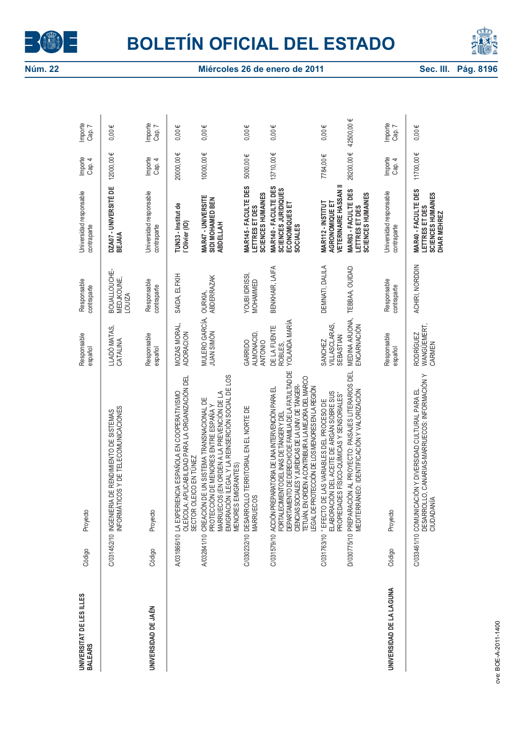



| UNIVERSITAT DE LES ILLES<br><b>BALEARS</b> | Código | Proyecto                                                                                                                                                                                                                                                                                                                          | Responsable<br>español                       | Responsable<br>contraparte                  | Universidad responsable<br>contraparte                                           | Importe<br>Cap. 4 | Importe<br>Cap. 7 |
|--------------------------------------------|--------|-----------------------------------------------------------------------------------------------------------------------------------------------------------------------------------------------------------------------------------------------------------------------------------------------------------------------------------|----------------------------------------------|---------------------------------------------|----------------------------------------------------------------------------------|-------------------|-------------------|
|                                            |        | C/031452/10 INGENIERIA DE RENDIMIENTO DE SISTEMAS<br>INFORMÁTICOS Y DE TELECOMUNICACIONES                                                                                                                                                                                                                                         | LLADÓ MATAS,<br>CATALINA                     | BOUALLOUCHE-<br>MEDJKOUNE,<br><b>LOUIZA</b> | DZA07 - UNIVERSITÉ DE<br><b>BEJAIA</b>                                           | 12000,00€         | $0,00 \in$        |
| UNIVERSIDAD DE JAÉN                        | Código | Proyecto                                                                                                                                                                                                                                                                                                                          | Responsable<br>español                       | Responsable<br>contraparte                  | Universidad responsable<br>contraparte                                           | Importe<br>Cap. 4 | Importe<br>Cap. 7 |
|                                            |        | OLEÍCOLA: APLICABILIDAD PARA LA ORGANIZACIÓN DEL<br>A/031866/10 LA EXPERIENCIA ESPAÑOLA EN COOPERATIVISMO<br>SECTOR OLEICO EN TÚNEZ                                                                                                                                                                                               | MOZAS MORAL,<br><b>ADORACION</b>             | SAIDA, ELFKIH                               | TUN33 - Institut de<br>l'Olivier (IO)                                            | 20000,00€         | $0,00 \in$        |
|                                            |        | EMIGRACIÓN ILEGAL Y LA REINSERCIÓN SOCIAL DE LOS<br>MARRUECOS (EN ORDEN A LA PREVENCIÓN DE LA<br>DE UN SISTEMA TRANSNACIONAL DE<br>PROTECCIÓN DE MENORES ENTRE ESPAÑA Y<br>MENORES EMIGRANTES)<br>A/032841/10 CREACIÓN                                                                                                            | MULERO GARCÍA,<br>JUAN SIMÓN                 | <b>ABDERRAZAK</b><br><b>OURKIA,</b>         | MAR47 - UNIVERSITE<br>SIDI MOHAMED BEN<br><b>ABDELLAH</b>                        | 10000,00€         | $0,00 \in$        |
|                                            |        | C/030232/10 DESARROLLO TERRITORIAL EN EL NORTE DE<br><b>MARRUECOS</b>                                                                                                                                                                                                                                                             | ALMONACID,<br><b>ANTONIO</b><br>GARRIDO      | YOUBI IDRISSI,<br>MOHAMMED                  | MAR145 - FACULTE DES<br>SCIENCES HUMAINES<br>LETTRES ET DES                      | 5000,00€          | $0,00 \in$        |
|                                            |        | DEPARTAMENTO DE DERECHO DE FAMILIA DE LA FATULTAD DE<br>TETUÁN, EN ORDEN A CONTRIBUIR A LA MEJORA DEL MARCO<br>CIENCIAS SOCIALES Y JURÍDICAS DE LA UNIV. DE TÁNGER-<br>LEGAL DE PROTECCIÓN DE LOS MENORES EN LA REGIÓN<br>C/031579/10 ACCIÓN PREPARATORIA DE UNA INTERVENCIÓN PARA EL<br>FORTALECIMIENTO DEL INAS DE TÁNGER Y DEL | YOLANDA MARÍA<br>DE LA FUENTE<br>ROBLES,     | BENKHAIR, LAIFA                             | MAR140 - FACULTE DES<br>SCIENCES JURIDIQUES<br>ECONOMIQUES ET<br><b>SOCIALES</b> | 13710,00€         | $0,00 \in$        |
|                                            |        | C/031763/10 " EFECTO DE LAS VARIABLES DEL PROCESO DE<br>ELABORACIÓN DEL ACEITE DE ARGÁN SOBRE SUS<br>PROPIEDADES FÍSICO-QUÍMICAS Y SENSORIALES"                                                                                                                                                                                   | VILLASCLARAS,<br>SEBASTIAN<br><b>SANCHEZ</b> | DEMNATI, DALILA                             | VETERINAIRE HASSAN II<br>MAR112 - INSTITUT<br>AGRONOMIQUE ET                     | 7784,00€          | $0,00 \in$        |
|                                            |        | D/030775/10 PREPARACIÓN AL PROYECTO: PAISAJES LITERARIOS DEL<br>MEDITERRÁNEO: IDENTIFICACIÓN Y VALORIZACIÓN                                                                                                                                                                                                                       | MEDINA ARJONA,<br>ENCARNACIÓN                | TEBBAA, OUIDAD                              | MAR63 - FACULTE DES<br>SCIENCES HUMAINES<br>LETTRES ET DES                       | 26200,00€         | 42500,00 €        |
| UNIVERSIDAD DE LA LAGUNA                   | Código | Proyecto                                                                                                                                                                                                                                                                                                                          | Responsable<br>español                       | Responsable<br>contraparte                  | Universidad responsable<br>contraparte                                           | Importe<br>Cap. 4 | Importe<br>Cap. 7 |
|                                            |        | DESARROLLO, CANARIAS-MARRUECOS: INFORMACIÓN Y<br>CIUDADANÍA<br>C/033461/10 COMUNICACIÓN Y DIVERSIDAD CULTURAL PARA EL                                                                                                                                                                                                             | WANGÜEMERT,<br><b>RODRÍGUEZ</b><br>CARMEN    | ACHIRI, NORDDIN                             | MAR40 - FACULTE DES<br>SCIENCES HUMAINES<br>LETTRES ET DES<br>DHAR MEHREZ        | 11700,00€         | $0,00 \in$        |
| rve: ROE-4-2011-1400                       |        |                                                                                                                                                                                                                                                                                                                                   |                                              |                                             |                                                                                  |                   |                   |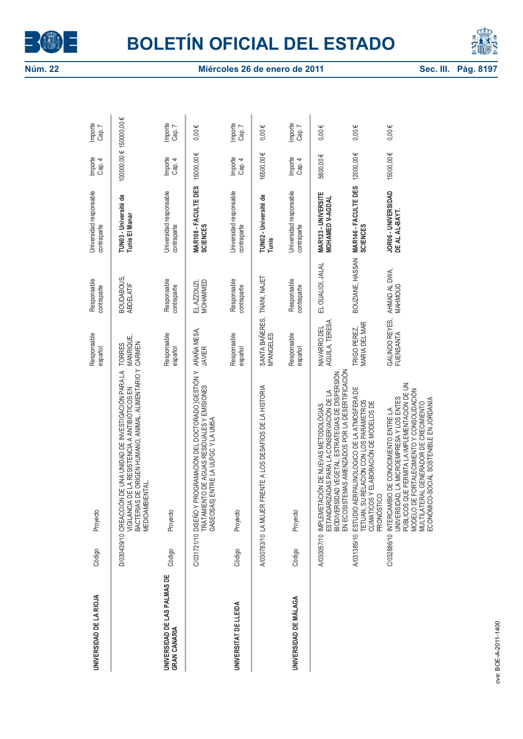



| UNIVERSIDAD DE LA RIOJA                      | Código | Proyecto                                                                                                                                                                                                                                                                          | Responsable<br>español                   | Responsable<br>contraparte      | Universidad responsable<br>contraparte  | Importe<br>Cap. 4       | Importe<br>Cap. 7 |
|----------------------------------------------|--------|-----------------------------------------------------------------------------------------------------------------------------------------------------------------------------------------------------------------------------------------------------------------------------------|------------------------------------------|---------------------------------|-----------------------------------------|-------------------------|-------------------|
|                                              |        | VIGILANCIA DE LA RESISTENCIA A ANTIBIÓTICOS EN MANRIQU<br>BACTERIAS DE ORIGEN HUMANO, ANIMAL, ALIMENTARIO Y CARMEN<br>D/030439/10 CREACCIÓN DE UNA UNIDAD DE INVESTIGACIÓN PARA LA<br><b>BIENTAL</b><br>MEDIOAM                                                                   | MANRIQUE,<br><b>TORRES</b>               | BOUDABOUS,<br><b>ABDELATIF</b>  | TUNO3 - Université de<br>Tunis El Manar | 100000,00 € 150000,00 € |                   |
| UNIVERSIDAD DE LAS PALMAS DE<br>GRAN CANARIA | Código | Proyecto                                                                                                                                                                                                                                                                          | Responsable<br>español                   | Responsable<br>contraparte      | Universidad responsable<br>contraparte  | Importe<br>Cap. 4       | Importe<br>Cap. 7 |
|                                              |        | PROGRAMACIÓN DEL DOCTORADO } GESTIÓN Y<br>TRATAMIENTO DE AGUAS RESIDUALES Y EMISIONES<br>GASEOSAS) ENTRE LA ULPGC Y LA UM5A<br>C/031721/10 DISEÑO Y                                                                                                                               | ARAÑA MESA,<br><b>JAVIER</b>             | MOHAMMED<br>EL AZZOUZI          | MAR108 - FACULTE DES<br><b>SCIENCES</b> | 15000,00€               | $0,00 \in$        |
| UNIVERSITAT DE LLEIDA                        | Código | Proyecto                                                                                                                                                                                                                                                                          | Responsable<br>español                   | Responsable<br>contraparte      | Universidad responsable<br>contraparte  | Importe<br>Cap. 4       | Importe<br>Cap. 7 |
|                                              |        | A/030783/10 LA MUJER FRENTE A LOS DESAFÍOS DE LA HISTORIA                                                                                                                                                                                                                         | SANTA BAÑERES, TNANI, NAJET<br>MªANGELES |                                 | TUN02 - Université de<br>Tunis          | 16500,00€               | $0,00 \in$        |
| UNIVERSIDAD DE MÁLAGA                        | Código | Proyecto                                                                                                                                                                                                                                                                          | Responsable<br>español                   | Responsable<br>contraparte      | Universidad responsable<br>contraparte  | Importe<br>Cap. 4       | Importe<br>Cap. 7 |
|                                              |        | EN ECOSISTEMAS AMENZADOS POR LA DESERTIFICACIÓN<br>BIODIVERSIDAD VEGETAL: ESTRATEGIAS DE DISPERSIÓN<br>ESTANDARIZADAS PARA LA CONSERVACIÓN DE LA<br>A/030057/10 IMPLEMETACIÓN DE NUEVAS METODOLÓGIAS                                                                              | AGUILA, TERESA<br>NAVARRO DEL            | EL OUALIDI, JALAL               | MAR123 - UNIVERSITE<br>MOHAMED V-AGDAL  | 5800,00€                | $0,00 \in$        |
|                                              |        | A/031385/10 ESTUDIO AERPALINOLOGICO DE LA ATMOSFERA DE<br>TETUAN, SU RELACION CON LOS PARÁMETROS<br>CLIMATICOS Y ELABORACIÓN DE MODELOS DE<br>PRONÓSTICO                                                                                                                          | MARIA DEL MAR<br>TRIGO PEREZ,            | BOUZIANE, HASSAN                | MAR146 - FACULTE DES<br><b>SCIENCES</b> | 12000,00€               | $0,00 \in$        |
|                                              |        | PÚBLICOS QUE PERMITA LA IMPLEMENTACIÓN DE UN<br>MODELO DE FORTALECIMIENTO Y CONSOLIDACIÓN<br>UNIVERSIDAD, LA MICROEMPRESA Y LOS ENTES<br>ICO-SOCIAL SOSTENIBLE EN JORDANIA<br>MULTILATERAL GENERADOR DE CRECIMIENTO<br>C/032886/10 INTERCAMBIO DE CONOCIMIENTO ENTRE LA<br>ECONÓM | GALINDO REYES,<br>FUENSANTA              | AHMAD AL DWA,<br><b>MAHMOUD</b> | JOR06 - UNIVERSIDAD<br>DE AL AL-BAYT.   | 15000,00€               | $0,00 \in$        |
|                                              |        |                                                                                                                                                                                                                                                                                   |                                          |                                 |                                         |                         |                   |
| nue: ROE-4-2011-1400                         |        |                                                                                                                                                                                                                                                                                   |                                          |                                 |                                         |                         |                   |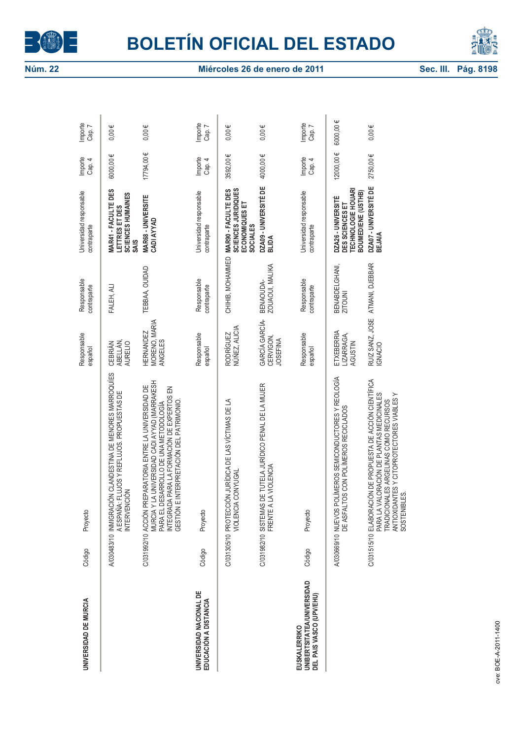



| UNIVERSIDAD DE MURCIA                                                         | Código | Proyecto                                                                                                                                                                                                                                       | Responsable<br>español                         | Responsable<br>contraparte        | Universidad responsable<br>contraparte                                                   | Importe<br>Cap. 4 | Importe<br>Cap. 7 |
|-------------------------------------------------------------------------------|--------|------------------------------------------------------------------------------------------------------------------------------------------------------------------------------------------------------------------------------------------------|------------------------------------------------|-----------------------------------|------------------------------------------------------------------------------------------|-------------------|-------------------|
|                                                                               |        | A/030483/10 INMIGRACIÓN CLANDESTINA DE MENORES MARROQUÍES<br>A ESPAÑA: FLUJOS Y REFLUJOS. PROPUESTAS DE<br><b>INTERVENCIÓN</b>                                                                                                                 | ABELLÁN,<br><b>CEBRIÁN</b><br><b>AURELIO</b>   | FALEH, ALI                        | MAR41 - FACULTE DES<br>SCIENCES HUMAINES<br>LETTRES ET DES<br><b>SAIS</b>                | 6000,00€          | $0,00 \in$        |
|                                                                               |        | LA UNIVERSIDAD CADI AYYAD (MARRAKESH<br>C/031992/10 ACCIÓN PREPARATORIA ENTRE LA UNIVERSIDAD DE<br>INTEGRADA PARA LA FORMACIÓN DE EXPERTOS EN<br>GESTIÓN E INTERPRETACIÓN DEL PATRIMONIO.<br>PARA EL DESARROLLO DE UNA METODOLOGÍA<br>MURCIA Y | MORENO, MARIA<br><b>HERNANDEZ</b><br>ANGELES   | TEBBAA, OUIDAD                    | MAR68 - UNIVERSITE<br>CADI AYYAD                                                         | 17794,00€         | $0,00 \in$        |
| UNIVERSIDAD NACIONAL DE<br>EDUCACIÓN A DISTANCIA                              | Código | Proyecto                                                                                                                                                                                                                                       | Responsable<br>español                         | Responsable<br>contraparte        | Universidad responsable<br>contraparte                                                   | Importe<br>Cap. 4 | Importe<br>Cap. 7 |
|                                                                               |        | C/031305/10 PROTECCIÓN JURÍDICA DE LAS VÍCTIMAS DE LA<br>VIOLENCIA CONYUGAL                                                                                                                                                                    | RODRÍGUEZ<br>NÚÑEZ, ALICIA                     | CHIHIB, MOHAMMED                  | <b>SCIENCES JURIDIQUES</b><br>MAR90 - FACULTE DES<br>ECONOMIQUES ET<br><b>SOCIALES</b>   | 3592,00€          | $0,00 \in$        |
|                                                                               |        | C/031982/10 SISTEMAS DE TUTELA JURÍDICO PENAL DE LA MUJER<br>LA VIOLENCIA<br>FRENTE A                                                                                                                                                          | GARCÍA GARCÍA-<br>CERVIGON,<br><b>JOSEFINA</b> | ZOUAOUI, MALIKA<br>BENAOUDA-      | DZA09 - UNIVERSITÉ DE<br>BLIDA                                                           | 4000,00€          | $0,00 \in$        |
| <b>UNIBERTSITATEA/UNIVERSIDAD</b><br>DEL PAIS VASCO (UPV/EHU)<br>EUSKALERRIKO | Código | Proyecto                                                                                                                                                                                                                                       | Responsable<br>español                         | Responsable<br>contraparte        | Universidad responsable<br>contraparte                                                   | Importe<br>Cap. 4 | Importe<br>Cap. 7 |
|                                                                               |        | A/030669/10 NUEVOS POLÍMEROS SEMICONDUCTORES Y REOLOGÍA<br>DE ASFALTOS CON POLÍMEROS RECICLADOS                                                                                                                                                | ETXEBERRIA<br>LIZARRAGA,<br><b>AGUSTIN</b>     | BENABDEL GHANI,<br><b>ZITOUNI</b> | <b>TECHNOLOGIE HOUARI</b><br>BOUMEDIENE (USTHB)<br>DZA26 - UNIVERSITÉ<br>DES SCIENCES ET | 12000,00€         | 6000,00€          |
|                                                                               |        | C/031515/10 ELABORACIÓN DE PROPUESTA DE ACCIÓN CIENTÍFICA<br>PARA LA VALORACIÓN DE PLANTAS MEDICINALES<br>ANTIOXIDANTES Y CITOPROTECTORES VIABLES Y<br>TRADICIONALES ARGELINAS COMO RECURSOS<br>SOSTENIBLES.                                   | <b>IGNACIO</b>                                 | RUIZ SANZ, JOSE ATMANI, DJEBBAR   | DZA07 - UNIVERSITÉ DE<br><b>BEJAIA</b>                                                   | 2750,00€          | $0,00 \in$        |
|                                                                               |        |                                                                                                                                                                                                                                                |                                                |                                   |                                                                                          |                   |                   |
| nue: BOE-4-2011-1400                                                          |        |                                                                                                                                                                                                                                                |                                                |                                   |                                                                                          |                   |                   |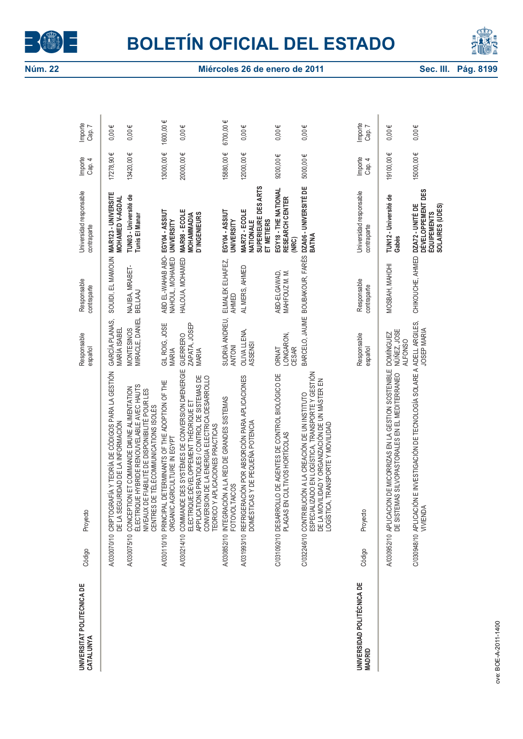



| UNIVERSITAT POLITECNICA DE<br>CATALUNYA     | Proyecto<br>Código |                                                                                                                                                                                                                                            | Responsable<br>español                            | Responsable<br>contraparte           | Universidad responsable<br>contraparte                                         | Importe<br>Cap. 4 | Importe<br>Cap. 7 |
|---------------------------------------------|--------------------|--------------------------------------------------------------------------------------------------------------------------------------------------------------------------------------------------------------------------------------------|---------------------------------------------------|--------------------------------------|--------------------------------------------------------------------------------|-------------------|-------------------|
|                                             |                    | A/030070/10 CRIPTOGRAFÍA Y TEORÍA DE CÓDIGOS PARA LA GESTIÓN<br>DE LA SEGURIDAD DE LA INFORMACIÓN                                                                                                                                          | GARCÍA PLANAS,<br>MARÍA ISABEL                    | SOUIDI, EL MAMOUN                    | MAR123 - UNIVERSITE<br>MOHAMED V-AGDAL                                         | 17278,90€         | $0,00 \in$        |
|                                             |                    | ÉLECTRIQUE HYBRIDE RENOUVELABLE AVEC HAUTS<br>A/030075/10 CONCEPTION ET COMMANDE D#UNE ALIMENTATION<br>NIVEAUX DE FIABILITÉ DE DISPONIBILITÉ POUR LES<br>CENTRES DE TÉLÉCOMMUNICATIONS ISOLÉS                                              | MIRACLE, DANIEL<br>MONTESINOS                     | NAJIBA, MRABET-<br>BELLAAJ           | TUN03 - Université de<br>Tunis El Manar                                        | 13420,00€         | $0,00 \in$        |
|                                             |                    | A/030110/10 PRINCIPAL DETERMINANTS OF THE ADOPTION OF THE<br>ORGANIC AGRICULTURE IN EGYPT                                                                                                                                                  | GIL ROIG, JOSE<br>MARIA                           | ABD EL-WAHAB ABO-<br>NAHOUL, MOHAMED | EGY04-ASSIUT<br><b>UNIVERSITY</b>                                              | 13000,00€         | 1600,00 €         |
|                                             |                    | A/030214/10 COMMANDE DES SYSTÈMES DE CONVERSION D#ENERGIE<br>ELECTRIQUE:DÉVELOPPEMENT THÉORIQUE ET<br>APPLICATIONS PRATIQUES / CONTROL DE SISTEMAS DE<br>CONVERSION DE LA ENERGIA ELECTRICA:DESARROLLO<br>TEORICO Y APLICACIONES PRACTICAS | ZAPATA, JOSEP<br><b>GUERRERO</b><br><b>MARIA</b>  | HALOUA, MOHAMED                      | MAR98 - ECOLE<br><b>MOHAMMADIA<br/>D`INGENIEURS</b>                            | 20000,00€         | $0,00 \in$        |
|                                             |                    | A/030852/10 INTEGRACIÓN A LA RED DE GRANDES SISTEMAS<br><b>FOTOVOLTAICOS</b>                                                                                                                                                               | SUDRIÀ ANDREU,<br><b>ANTONI</b>                   | ELMALEK ELHAFEZ,<br>AHMED            | EGY04 - ASSIUT<br><b>UNIVERSITY</b>                                            | 15880,00€         | 6700,00 €         |
|                                             |                    | A/031993/10 REFRIGERACIÓN POR ABSORCIÓN PARA APLICACIONES<br>DOMÉSTICAS Y DE PEQUEÑA POTENCIA                                                                                                                                              | OLIVA LLENA,<br><b>ASSENSI</b>                    | AL MERS, AHMED                       | SUPERIEURE DES ARTS<br>MAR72 - ECOLE<br>NATIONALE<br>ET METIERS                | 12000,00€         | $0,00 \in$        |
|                                             |                    | C/031092/10 DESARROLLO DE AGENTES DE CONTROL BIOLÓGICO DE<br>PLAGAS EN CULTIVOS HORTÍCOLAS                                                                                                                                                 | LONGARON,<br>CESAR<br><b>ORNAT</b>                | MAHFOUZ M. M.<br>ABD-ELGAWAD,        | EGY18 - THE NATIONAL<br>RESEARCH CENTER<br>(NRC)                               | 9200,00€          | $0,00 \in$        |
|                                             |                    | ESPECIALIZADO EN LOGÍSTICA, TRANSPORTE Y GESTIÓN<br>DE LA MOVILIDAD Y ORGANIZACIÓN DE UN MÁSTER EN<br>C/032246/10 CONTRIBUCIÓN A LA CREACIÓN DE UN INSTITUTO<br>LOGÍSTICA, TRANSPORTE Y MOVILIDAD                                          |                                                   |                                      | BARCELO, JAUME BOUBAKOUR, FARÈS DZA06-UNIVERSITÉ DE<br>BATNA                   | 5000,00€          | $0,00 \in$        |
| UNIVERSIDAD POLITÉCNICA DE<br><b>MADRID</b> | Proyecto<br>Código |                                                                                                                                                                                                                                            | Responsable<br>español                            | Responsable<br>contraparte           | Universidad responsable<br>contraparte                                         | Importe<br>Cap. 4 | Importe<br>Cap.   |
|                                             |                    | A/030952/10 APLICACION DE MICORNZAS EN LA GESTION SOSTENIBLE<br>DE SISTEMAS SILVOPASTORALES EN EL MEDITERRANEO                                                                                                                             | NÚÑEZ, JOSE<br><b>DOMÍNGUEZ</b><br><b>ALFONSO</b> | MOSBAH, MAHDHI                       | TUN12 - Université de<br>Gabès                                                 | 19100,00€         | $0,00 \in$        |
|                                             | VIVIENDA           | C/030948/10 APLICACIÓN E INVESTIGACIÓN DE TECNOLOGÍA SOLARE A ADELL ARGILES,                                                                                                                                                               | JOSEP MARIA                                       | CHIKOUCHE, AHMED                     | DÉVELOPPEMENT DES<br>DZA72 - UNITÉ DE<br>SOLAIRES (UDES)<br><b>ÉQUIPEMENTS</b> | 15000,00€         | $0,00 \in$        |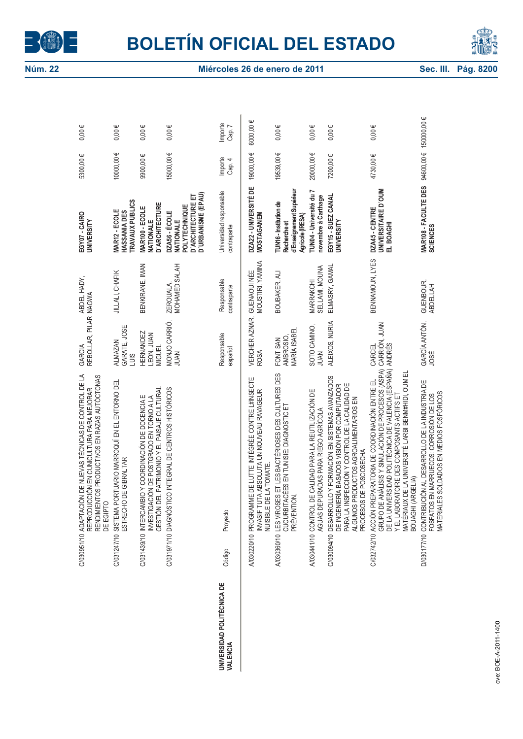



|                                        | C/03051/10 ADAPTACIÓN DE NUEVAS TÉCNICAS DE CONTROL DE LA<br>REPRODUCCIÓN EN CUNICULTURA PARA MEJORAR<br>RENDIMIENTOS PRODUCTIVOS EN RAZAS AUTÓCTONAS<br>DE EGIPTO                                                                                                                                               | REBOLLAR, PILAR NAGWA<br>GARCIA                 | ABDEL HADY,                            | EGY07-CAIRO<br><b>UNIVERSITY</b>                                                              | 5300,00€               | $0,00 \in$        |
|----------------------------------------|------------------------------------------------------------------------------------------------------------------------------------------------------------------------------------------------------------------------------------------------------------------------------------------------------------------|-------------------------------------------------|----------------------------------------|-----------------------------------------------------------------------------------------------|------------------------|-------------------|
|                                        | C/031247/10 SISTEMA PORTUARIO MARROQUÍ EN EL ENTORNO DEL<br>ESTRECHO DE GIBRALTAR                                                                                                                                                                                                                                | GARATE, JOSE<br><b>ALMAZAN</b><br>SINT          | <b>JILLALI, CHAFIK</b>                 | TRAVAUX PUBLICS<br>MAR12 - ECOLE<br>HASSANIA DES                                              | 100000,00€             | $0,00 \in$        |
|                                        | <b>EL PATRIMONIO Y EL PAISAJE CULTURAL</b><br>C/031439/10 INTERCAMBIO Y COORDINACIÓN DE DOCENCIA E<br>INVESTIGACIÓN DE POSTGRADO EN TORNO A LA<br><b>GESTIÓN D</b>                                                                                                                                               | <b>HERNANDEZ</b><br>LEON, JUAN<br><b>MIGUEL</b> | BENKIRANE, IMAN                        | <b>D'ARCHITECTURE</b><br>MAR100 - ECOLE<br>NATIONALE                                          | 9900,00€               | $0,00 \in$        |
|                                        | C/031971/10 DIAGNÓSTICO INTEGRAL DE CENTROS HISTÓRICOS                                                                                                                                                                                                                                                           | MONJO CARRIÓ,<br><b>JUAN</b>                    | MOHAMED SALAH<br>ZEROUALA,             | D'URBANISME (EPAU)<br><b>D'ARCHITECTURE ET</b><br>POLYTECHNIQUE<br>DZA56 - ÉCOLE<br>NATIONALE | 15000,00€              | $0,00 \in$        |
| UNIVERSIDAD POLITÉCNICA DE<br>VALENCIA | Proyecto<br>Código                                                                                                                                                                                                                                                                                               | Responsable<br>español                          | Responsable<br>contraparte             | Universidad responsable<br>contraparte                                                        | Importe<br>Cap. 4      | Importe<br>Cap. 7 |
|                                        | A/030220/10 PROGRAMME DE LUTTE INTÉGRÉE CONTRE L#INSECTE<br>INVASIF TUTA ABSOLUTA UN NOUVEAU RAVAGEUR<br>NUISIBLE DE LA TOMATE.                                                                                                                                                                                  | VERCHER AZNAR,<br><b>ROSA</b>                   | MOUSTIRI, YAMINA<br><b>GUENAOUINÉE</b> | DZA22 - UNIVERSITÉ DE<br><b>MOSTAGANEM</b>                                                    | 19000,00€              | 6000,00€          |
|                                        | A/030360/10 LES VIROSES ET LES BACTÉRIOSES DES CULTURES DES<br>CUCURBITACÉES EN TUNISIE: DIAGNOSTIC ET<br>PRÉVENTION.                                                                                                                                                                                            | MARÍA ISABEL<br>AMBROSIO,<br>FONT SAN           | BOUBAKER, ALI                          | d'Enseignement Supérieur<br>TUN16-Institution de<br>Agricole (IRESA)<br>Recherche et          | 19539,00€              | $0,00 \in$        |
|                                        | DE CALIDAD PARA LA REUTILIZACIÓN DE<br>AGUAS DEPURADAS PARA RIEGO AGRÍCOLA<br>A/030441/10 CONTROL                                                                                                                                                                                                                | SOTO CAMINO,<br>JUAN                            | SELLAMI, MOUNA<br>MARRAKCHI            | TUN04 - Université du 7<br>novembre à Carthage                                                | 200000,00€             | $0,00 \in$        |
|                                        | C/030094/10 DESARROLLO Y FORMACIÓN EN SISTEMAS AVANZADOS<br>DE INGENIERÍA BASADOS VISIÓN POR COMPUTADOR<br>PARA LA INSPECCIÓN Y CONTROL DE LA CALIDAD DE<br>ALGUNOS PRODUCTOS AGROALIMENTARIOS EN<br>PROCESOS DE POSCOSECHA                                                                                      | ALEIXOS, NURIA                                  | ELMASRY, GAMAL                         | EGY15 - SUEZ CANAL<br><b>UNIVERSITY</b>                                                       | 7200,00€               | $0,00 \in$        |
|                                        | /ERSIDAD POLITÉCNICA DE VALENCIA (ESPAÑA) ANDRÉS<br>ANÁLISIS Y SIMULACIÓN DE PROCESOS (ASPA)<br>MATÉRIAUX DE LA UNIVERSITÉ LARBI BENM#HDI, OUM EL<br>C/032742/10 ACCIÓN PREPARATORIA DE COORDINACIÓN ENTRE EL<br>Y EL LABORATOIRE DES COMPOSANTS ACTIFS ET<br>BOUAGHI (ARGELIA)<br><b>GRUPO DE</b><br>DE LA UNIV | CARRIÓN, JUAN<br>CARCEL                         | BENNAMOUN, LYES                        | UNIVERSITAIRE D'OUM<br>DZA45 - CENTRE<br>EL BOAGHI                                            | 4730,00€               | $0,00 \in$        |
|                                        | D/030177/10 CONTRIBUCIÓN AL DESARROLLO DE LA INDUSTRIA DE<br>FOSFATOS EN MARRUECOS: CORROSIÓN DE LOS<br>MATERIALES SOLDADOS EN MEDIOS FOSFÓRICOS                                                                                                                                                                 | GARCÍA ANTÓN,<br><b>JOSÉ</b>                    | GUENBOUR,<br><b>ABDELLAH</b>           | MAR108 - FACULTE DES<br><b>SCIENCES</b>                                                       | 94600,00 € 150000,00 € |                   |
| rve: ROE-4-2011-1400                   |                                                                                                                                                                                                                                                                                                                  |                                                 |                                        |                                                                                               |                        |                   |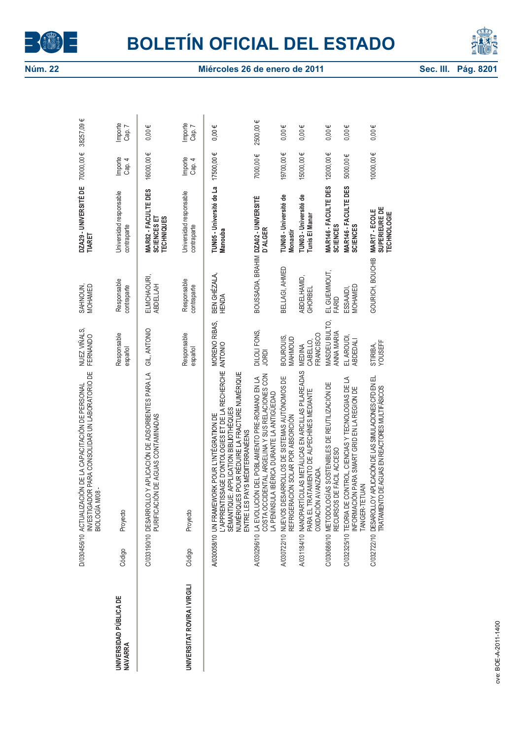



|                                          |                    | INVESTIGADOR PARA CONSOLIDAR UN LABORATORIO DE<br>D/030456/10 ACTUALIZACIÓN DE LA CAPACITACIÓN DE PERSONAL<br><b>BIOLOGÍA M/08</b>                                                                                           | NUEZ VIÑALS,<br>FERNANDO        | SAHNOUN,<br>MOHAMED                  | DZA29 - UNIVERSITÉ DE<br>TIARET                         | 70000,00€         | 38257,09€         |
|------------------------------------------|--------------------|------------------------------------------------------------------------------------------------------------------------------------------------------------------------------------------------------------------------------|---------------------------------|--------------------------------------|---------------------------------------------------------|-------------------|-------------------|
| UNIVERSIDAD PÚBLICA DE<br><b>NAVARRA</b> | Código             | Proyecto                                                                                                                                                                                                                     | Responsable<br>español          | Responsable<br>contraparte           | Universidad responsable<br>contraparte                  | Importe<br>Cap. 4 | Importe<br>Cap. 7 |
|                                          |                    | C/033190/10 DESARROLLO Y APLICACIÓN DE ADSORBENTES PARA LA<br>PURIFICACIÓN DE AGUAS CONTAMINADAS                                                                                                                             | GIL, ANTONIO                    | ELMCHAOURI,<br>ABDELLAH              | MAR82 - FACULTE DES<br>SCIENCES ET<br><b>TECHNIQUES</b> | 16000,00€         | $0,00 \in$        |
| UNIVERSITAT ROVIRA I VIRGILI             | Código             | Proyecto                                                                                                                                                                                                                     | Responsable<br>español          | Responsable<br>contraparte           | Universidad responsable<br>contraparte                  | Importe<br>Cap. 4 | Importe<br>Cap. 7 |
|                                          |                    | L'APPRENTISSAGE D'ONTOLOGIES ET DE LA RECHERCHE<br>NUMÉRIQUES POUR RÉDUIRE LA FRACTURE NUMÉRIQUE<br>SÉMANTIQUE: APPLICATION BIBLIOTHÈQUES<br>A/030058/10 UN FRAMEWORK POUR L'INTÉGRATION DE<br>ENTRE LES PAYS MÉDITERRANÉENS | MORENO RIBAS,<br><b>ANTONIO</b> | BEN GHÉZALA,<br><b>HENDA</b>         | TUN05 - Université de La<br>Manouba                     | 17500,00€         | $0,00 \in$        |
|                                          |                    | COSTA OCCIDENTAL ARGELINA Y SUS RELACIONES CON<br>LA PENÍNSULA IBÉRICA DURANTE LA ANTIGÜEDAD<br>A/030296/10 LA EVOLUCIÓN DEL POBLAMIENTO PRE-ROMANO EN LA                                                                    | DILOLI FONS,<br><b>JORDI</b>    | BOUSSADIA, BRAHIM DZA02 - UNIVERSITÉ | D'ALGER                                                 | 7000,00€          | 2500,00€          |
|                                          | A/030722/10 NUEVOS | DESARROLLOS DE SISTEMAS AUTÓNOMOS DE<br>REFRIGERACIÓN SOLAR POR ABSORCIÓN                                                                                                                                                    | BOUROUIS,<br>MAHMOUD            | BELLAGI, AHMED                       | TUN08 - Université de<br><b>Monastir</b>                | 19700,00€         | $0,00 \in$        |
|                                          |                    | A/031184/10 NANOPARTÍCULAS METÁLICAS EN ARCILLAS PILAREADAS<br>PARA EL TRATAMIENTO DE ALPECHÍNES MEDIANTE<br>OXIDACIÓN AVANZADA.                                                                                             | FRANCISCO<br>CABELLO,<br>MEDINA | ABDELHAMID,<br><b>GHORBEL</b>        | TUN03 - Université de<br>Tunis El Manar                 | 15000,00€         | $0,00 \in$        |
|                                          |                    | C/030686/10 METODOLOGÍAS SOSTENIBLES DE REUTILIZACIÓN DE<br>RECURSOS DE FÀCIL ACCESO                                                                                                                                         | MASDEU BULTO,<br>ANNA MARIA     | EL GUEMMOUT,<br>FARID                | <b>MAR146 - FACULTE DES<br/>SCIENCES</b>                | 12000,00€         | $0,00 \in$        |
|                                          |                    | C/032325/10 TEORIA DE CONTROL, CIENCIAS Y TECNOLOGIAS DE LA<br>INFORMACIÓN PARA SMART GRID EN LA REGION DE<br>TANGER-TETUAN                                                                                                  | EL AROUDI,<br>ABDEDALI          | MOHAMED<br>ESSAAIDI,                 | MAR146 - FACULTE DES<br><b>SCIENCES</b>                 | 5000,00€          | $0,00 \in$        |
|                                          |                    | C/032722/10 DESAROLLO Y APLICACIÓN DE LAS SIMULACIONES CFD EN EL<br>TRATAMENTO DE AGUAS EN REACTORES MULTIFÁSICOS                                                                                                            | STIRIBA,<br>YOUSEFF             | GOURICH, BOUCHIB                     | SUPERIEURE DE<br>MAR17 - ECOLE<br><b>TECHNOLOGIE</b>    | 10000,00€         | $0,00 \in$        |
|                                          |                    |                                                                                                                                                                                                                              |                                 |                                      |                                                         |                   |                   |
|                                          |                    |                                                                                                                                                                                                                              |                                 |                                      |                                                         |                   |                   |
| nve: ROE-4-2011-1400                     |                    |                                                                                                                                                                                                                              |                                 |                                      |                                                         |                   |                   |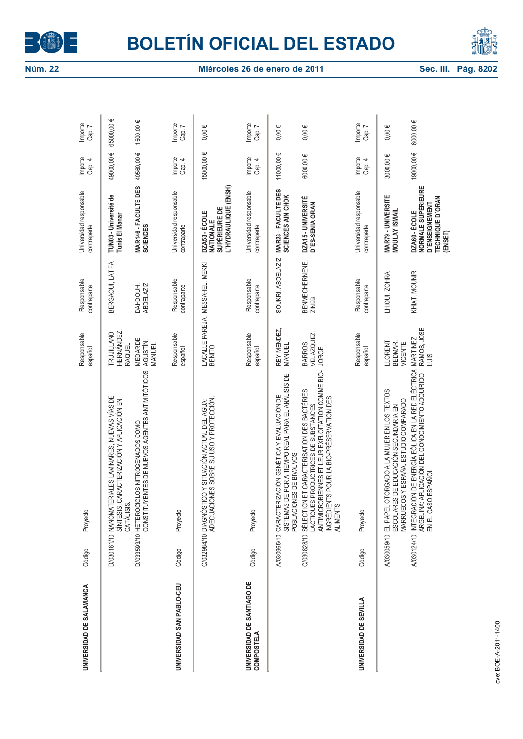



| UNIVERSIDAD DE SALAMANCA                        | Código | Proyecto                                                                                                                                                                                                          | Responsable<br>español                  | Responsable<br>contraparte      | Universidad responsable<br>contraparte                                                             | Importe<br>Cap. 4 | Importe<br>Cap. 7 |
|-------------------------------------------------|--------|-------------------------------------------------------------------------------------------------------------------------------------------------------------------------------------------------------------------|-----------------------------------------|---------------------------------|----------------------------------------------------------------------------------------------------|-------------------|-------------------|
|                                                 |        | D/030161/10 NANOMATERIALES LAMINARES, NUEVAS VÍAS DE<br>SÍNTESIS. CARACTERIZACIÓN Y APLICACIÓN EN<br>CATÁLISIS.                                                                                                   | TRUJILLANO<br>HERNÁNDEZ,<br>RAQUEL      | BERGAOUI, LATIFA                | TUN03 - Université de<br>Tunis El Manar                                                            | 49000,00€         | 65000,00€         |
|                                                 |        | CONSTITUYENTES DE NUEVOS AGENTES ANTIMITÓTICOS<br>D/033593/10 HETEROCICLOS NITROGENADOS COMO                                                                                                                      | <b>MEDARDE</b><br>AGUSTÍN,<br>MANUEL    | DAHDOUH,<br>ABDELAZIZ           | <b>MAR146 - FACULTE DES<br/>SCIENCES</b>                                                           | 40560,00€         | 1500,00 €         |
| UNIVERSIDAD SAN PABLO-CEU                       | Código | Proyecto                                                                                                                                                                                                          | Responsable<br>español                  | Responsable<br>contraparte      | Universidad responsable<br>contraparte                                                             | Importe<br>Cap. 4 | Importe<br>Cap. 7 |
|                                                 |        | C/032984/10 DIAGNÓSTICO Y SITUACIÓN ACTUAL DEL AGUA;<br>ADECUACIONES SOBRE SU USO Y PROTECCIÓN                                                                                                                    | <b>BENITO</b>                           | LACALLE PAREJA, MESSAHEL, MEKKI | L'HYDRAULIQUE (ENSH)<br>SUPÉRIEURE DE<br>DZA53 - ÉCOLE<br>NATIONALE                                | 15000,00€         | $0,00 \in$        |
| UNIVERSIDAD DE SANTIAGO DE<br><b>COMPOSTELA</b> | Código | Proyecto                                                                                                                                                                                                          | Responsable<br>español                  | Responsable<br>contraparte      | Universidad responsable<br>contraparte                                                             | Importe<br>Cap. 4 | Importe<br>Cap. 7 |
|                                                 |        | SISTEMAS DE PCR A TIEMPO REAL PARA EL ANÁLISIS DE<br>A/030965/10 CARACTERIZACIÓN GENÉTICA Y EVALUACIÓN DE<br>POBLACIONES DE BIVALVOS                                                                              | REY MENDEZ,<br><b>MANUEL</b>            | SOUKRI, ABDELAZIZ               | MAR23 - FACULTE DES<br>SCIENCES AIN CHOK                                                           | 11000,00€         | $0,00 \in$        |
|                                                 |        | ANTIMICROBIENNES ET LEUR EXPLOITATION COMME BIO-<br>C/030828/10 SÉLECTION ET CARACTERISATION DES BACTÉRIES<br>LACTIQUES PRODUCTRICES DE SUBSTANCES<br>INGRÉDIENTS POUR LA BIO-PRÉSERVATION DES<br><b>ALIMENTS</b> | VELAZQUEZ,<br><b>BARROS</b><br>JORGE    | BENMECHERNENE,<br>ZINEB         | DZA15 - UNIVERSITÉ<br>D'ES-SENIA ORAN                                                              | 6000,00€          | $0,00 \in$        |
| UNIVERSIDAD DE SEVILLA                          | Código | Proyecto                                                                                                                                                                                                          | Responsable<br>español                  | Responsable<br>contraparte      | Universidad responsable<br>contraparte                                                             | Importe<br>Cap. 4 | Importe<br>Cap. 7 |
|                                                 |        | EL PAPEL OTORGADO A LA MUJER EN LOS TEXTOS<br>ESCOLARES DE EDUCACIÓN SECUNDARIA EN<br>MARRUECOS Y ESPAÑA. ESTUDIO COMPARADO<br>A/030059/10 EL PAPEL                                                               | <b>LLORENT</b><br>BEDMAR,<br>VICENTE    | LHIOUI, ZOHRA                   | MAR79 - UNIVERSITE<br><b>MOULAY ISMAIL</b>                                                         | 3000,00€          | $0,00 \in$        |
|                                                 |        | A/030124/10 INTEGRACIÓN DE ENERGÍA EÓLICA EN LA RED ELÉCTRICA<br>A030124/10 INTEGRACIÓN DE CONOCIMIENTO ADQUIRIDO<br>EN EL CASO ESPAÑOL                                                                           | RAMOS, JOSE<br>MARTINEZ<br>$rac{10}{2}$ | KHIAT, MOUNIR                   | <b>NORMALE SUPÉRIEURE</b><br>TECHNIQUE D'ORAN<br><b>D'ENSEIGNEMENT</b><br>DZA60 - ÉCOLE<br>(ENSET) | 19000,00€         | 6000,00€          |
| rve: ROE-4-2011-1400                            |        |                                                                                                                                                                                                                   |                                         |                                 |                                                                                                    |                   |                   |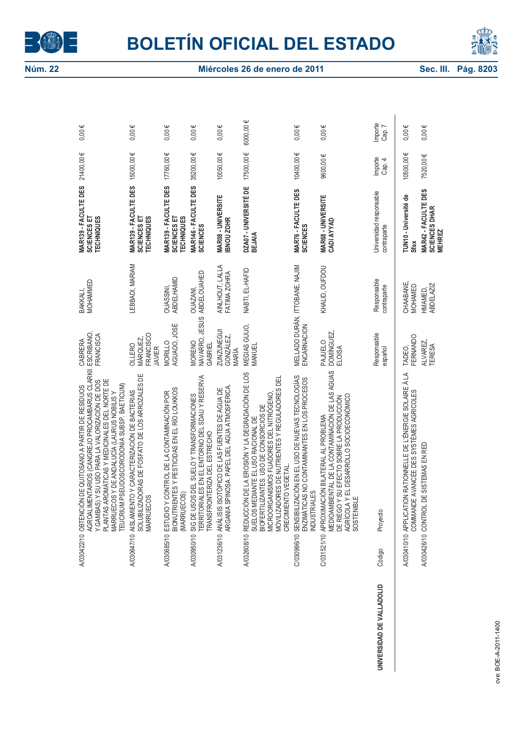



|                           | AGROALIMENTARIOS (CANGREJO PROCAMBARUS CLARKII<br>PLANTAS AROMÁTICAS Y MEDICINALES DEL NORTE DE<br>Y GAMBAS) Y SU USO PARA LA VALORIZACIÓN DE DOS<br>PSEUDOSCORODONIA SUBSP. BAETICUM)<br>A/030422/10 OBTENCIÓN DE QUITOSANO A PARTIR DE RESIDUOS<br>MARRUECOS Y DE ANDALUCÍA (LAURUS NOBILIS Y<br>TEUCRIUM | <b>ESCRIBANO</b><br>FRANCISCA<br>CABRERA          | MOHAMMED<br>BAKKALI,                 | MAR139 - FACULTE DES<br>SCIENCES ET<br><b>TECHNIQUES</b>                | 21400,00€         | Ψ<br>0,00         |
|---------------------------|-------------------------------------------------------------------------------------------------------------------------------------------------------------------------------------------------------------------------------------------------------------------------------------------------------------|---------------------------------------------------|--------------------------------------|-------------------------------------------------------------------------|-------------------|-------------------|
|                           | SOLUBILIZADORAS DE FOSFATO DE LOS ARROZALES DE<br>A/030647/10 AISLAMIENTO Y CARACTERIZACIÓN DE BACTERIAS<br><b>MARRUECOS</b>                                                                                                                                                                                | FRANCISCO<br>MÁRQUEZ,<br>OLLERO<br><b>JAVIER</b>  | LEBBADI, MARIAM                      | MAR139 - FACULTE DES<br>SCIENCES ET<br><b>TECHNIQUES</b>                | 15000,00€         | $0,00 \in$        |
|                           | BIONUTRIENTES Y PESTICIDAS EN EL RÍO LOUKKOS<br>A/030685/10 ESTUDIO Y CONTROL DE LA CONTAMINACIÓN POR<br>(MARRUECOS)                                                                                                                                                                                        | AGUADO, JOSÉ<br><b>MORILLO</b>                    | ABDELHAMID<br><b>DUASSINI</b>        | MAR139 - FACULTE DES $17760,00 \in$<br>SCIENCES ET<br><b>TECHNIQUES</b> |                   | $0,00 \in$        |
|                           | A/030950/10 SIG DE USOS DEL SUELO Y TRANSFORMACIONES<br>TERRITORIALES EN EL ENTORNO DEL SDAU Y RESERVA<br>TRANSFRONTERIZA DEL ESTRECHO                                                                                                                                                                      | <b>NAVARRO, JESUS</b><br><b>MORENO</b><br>GABRIEL | <b>ABDELOUAHED</b><br><b>OUAZANI</b> | MAR146 - FACULTE DES<br><b>SCIENCES</b>                                 | 35200,00€         | $0,00 \in$        |
|                           | ARGANIA SPINOSA. PAPEL DEL AGUA ATMOSFÉRICA<br>SOTÓPICO DE LAS FUENTES DE AGUA DE<br>A/031236/10 ANÁLISIS I                                                                                                                                                                                                 | <b>ZUNZUNEGUI</b><br>GONZÁLEZ,<br>MARÍA           | AINLHOUT, LALLA<br>FATIMA ZOHRA      | MAR08 - UNIVERSITE<br><b>BNOU ZOHR</b>                                  | 10050,00€         | $0,00 \in$        |
|                           | A/032608/10 REDUCCIÓN DE LA EROSIÓN Y LA DEGRADACIÓN DE LOS<br>MOVILIZADORES DE NUTRIENTES Y REGULADORES DEL<br>MICROORGANISMOS FIJADORES DEL NITRÓGENO<br>BIOFERTILIZANTES. USO DE CONSORCIOS DE<br>SUELOS MEDIANTE EL USO RACIONAL DE<br>CRECIMIENTO VEGETAL                                              | MEGIAS GUIJO,<br>MANUEL                           | NABTI, EL-HAFID                      | DZA07 - UNIVERSITÉ DE<br>BEJAIA                                         | 17500,00€         | 6000,00€          |
|                           | C/030996/10 SENSIBILIZACIÓN EN EL USO DE NUEVAS TECNOLOGÍAS<br>ENZIMÁTICAS NO CONTAMINANTES EN LOS PROCESOS<br><b>INDUSTRIALES</b>                                                                                                                                                                          | MELLADO DURÁN, ITTOBANE, NAJIM<br>ENCARNACION     |                                      | MAR76 - FACULTE DES<br><b>SCIENCES</b>                                  | 10400,00€         | $0,00 \in$        |
|                           | MEDIOAMBIENTAL DE LA CONTAMINACIÓN DE LAS AGUAS<br>AGRÍCOLA Y EL DESARROLLO SOCIOECONÓMICO<br>DE RIEGO Y SU EFECTO SOBRE LA PRODUCCIÓN<br>C/031521/10 APROXIMACIÓN BILATERAL AL PROBLEMA<br>SOSTENIBLE                                                                                                      | DOMÍNGUEZ,<br>PAJUELO<br>ELOISA                   | KHALID, OUFDOU                       | <b>MAR68 - UNIVERSITE</b><br>CADI AYYAD                                 | 9600,00€          | $0,00 \in$        |
| UNIVERSIDAD DE VALLADOLID | Proyecto<br>Código                                                                                                                                                                                                                                                                                          | Responsable<br>español                            | Responsable<br>contraparte           | Universidad responsable<br>contraparte                                  | Importe<br>Cap. 4 | Importe<br>Cap. 7 |
|                           | A/030410/10 APPLICATION RATIONNELLE DE L'ÉNERGIE SOLAIRE À LA<br>E AVANCÉE DES SYSTÈMES AGRICOLES<br>COMMAND                                                                                                                                                                                                | FERNANDO<br>TADEO,                                | CHAABANE,<br>MOHAMED                 | TUN10 - Université de<br>Sfax                                           | 10500,00€         | $0,00 \in$        |
|                           | DE SISTEMAS EN RED<br>A/030426/10 CONTROL                                                                                                                                                                                                                                                                   | ALVAREZ,<br><b>TERESA</b>                         | <b>ABDELAZIZ</b><br>HMAMED,          | MAR42 - FACULTE DES<br><b>SCIENCES DHAR</b><br><b>MEHREZ</b>            | 7520,00€          | $0,00 \in$        |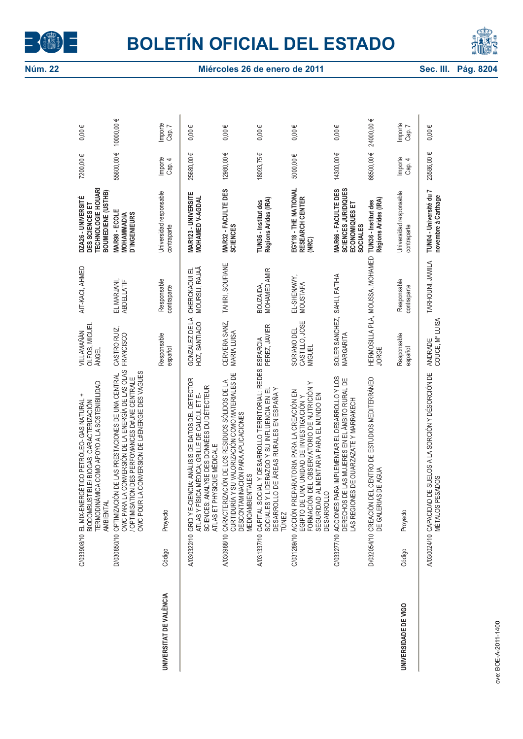



|                         |        | TERMODINÁMICA COMO APOYO A LA SOSTENIBILIDAD<br>$\ddot{}$<br>C/033908/10 EL MIX-ENERGÉTICO PETRÓLEO- GAS NATURAL<br>BIOCOMBUSTIBLE/ BIOGAS: CARACTERIZACIÓN<br>AMBIENTAI                                           | OLFOS, MIGUEL<br>VILLAMAÑÁN<br><b>ÁNGEL</b>    | AIT-KACI, AHMED                  | <b>TECHNOLOGIE HOUARI</b><br>BOUMEDIENE (USTHB)<br>DZA26 - UNIVERSITÉ<br>DES SCIENCES ET | 7200,00€          | $0,00 \in$        |
|-------------------------|--------|--------------------------------------------------------------------------------------------------------------------------------------------------------------------------------------------------------------------|------------------------------------------------|----------------------------------|------------------------------------------------------------------------------------------|-------------------|-------------------|
|                         |        | D/030850/10 OPTIMIZACIÓN DE LAS PRESTACIONES DE UNA CENTRAL<br>OWC PARA LA CONVERSIÓN DE LA ENERGÍA DE LAS OLAS<br>/ OPTIMISATION DES PERFOMANCES D#UNE CENTRALE<br>OWC POUR LA CONVERSION DE L#ENERGIE DES VAGUES | CASTRO RUIZ,<br>FRANCISCO                      | EL MARJANI,<br><b>ABDELLATIF</b> | MAR98 - ECOLE<br><b>MOHAMMADIA</b><br>D`INGENIEURS                                       | 55600,00€         | 10000,00€         |
| UNIVERSITAT DE VALÈNCIA | Código | Proyecto                                                                                                                                                                                                           | Responsable<br>español                         | Responsable<br>contraparte       | Universidad responsable<br>contraparte                                                   | Importe<br>Cap. 4 | Importe<br>Cap. 7 |
|                         |        | A/030322/10  GRID Y E-CIENCIA: ANÁLISIS DE DATOS DEL DETECTOR<br>ATLAS Y FÍSICA MÉDICA; GRILLE DE CALCUL ET E-<br>SCIENCES: ANALYSE DES DONNÉES DU DÉTECTEUR<br>ATLAS ET PHYSIQUE MÉDICALE                         | GONZALEZ DE LA<br>HOZ, SANTIAGO                | CHERCKAOUI EL<br>MOURSLI, RAJAÂ  | MAR123 - UNIVERSITE<br>MOHAMED V-AGDAL                                                   | 25680,00€         | $0,00 \in$        |
|                         |        | CURTIDURÍA Y SU VALORIZACIÓN COMO MATERIALES DE<br>DESCONTAMINACIÓN PARA APLICACIONES<br>A/030988/10 CARACTERIZACIÓN DE LOS RESIDUOS SÓLIDOS DE LA<br><b>MEDIOAMBIENTALES</b>                                      | CERVERA SANZ,<br>MARIA LUISA                   | TAHIRI, SOUFIANE                 | <b>MAR32 - FACULTE DES<br/>SCIENCES</b>                                                  | 12980,00€         | $0,00 \in$        |
|                         |        | SOCIALES Y LIDERAZGO Y SU INFLUENCIA EN EL<br>DESARROLLO DE ÁREAS RURALES EN ESPAÑA Y<br>TÚNEZ                                                                                                                     |                                                | BOUZAIDA,<br>MOHAMED AMIR        | Régions Arides (IRA)<br>TUN36 - Institut des                                             | 18093,75€         | $0,00 \in$        |
|                         |        | FORMACIÓN DEL OBSERVATORIO DE NUTRICIÓN Y<br>C/031289/10 ACCIÓN PREPARATORIA PARA LA CREACIÓN EN<br>EGIPTO DE UNA UNIDAD DE INVESTIGACIÓN Y<br>SEGURIDAD ALIMENTARIA PARA EL MUNDO EN<br><b>DESARROLLO</b>         | CASTILLO, JOSE<br>SORIANO DEL<br><b>MIGUEL</b> | EL-SHENAWY,<br>MOUSTAFA          | EGY18 - THE NATIONAL<br>RESEARCH CENTER<br>(NRC)                                         | 5000,00€          | $0,00 \in$        |
|                         |        | C/033277/10 ACCIONES PARA IMPLEMENTAR EL DESARROLLO Y LOS<br>DERECHOS DE LAS MUJERES EN EL ÁMBITO RURAL DE<br>LAS REGIONES DE OUARZAZATE Y MARRAKECH                                                               | SOLER SANCHEZ, SAHLI, FATIHA<br>MARGARITA      |                                  | <b>MAR66 - FACULTE DES<br/>SCIENCES JURIDIQUES</b><br>ECONOMIQUES ET<br><b>SOCIALES</b>  | 14300,00€         | $0,00 \in$        |
|                         |        | D/032054/10 CREACIÓN DEL CENTRO DE ESTUDIOS MEDITERRÁNEO<br>DE GALERIAS DE AGUA                                                                                                                                    | <b>JORGE</b>                                   | HERMOSILLA PLA, MOUSSA, MOHAMED  | Régions Arides (IRA)<br>TUN36 - Institut des                                             | 66500,00€         | 24000,00€         |
| UNIVERSIDADE DE VIGO    | Código | Proyecto                                                                                                                                                                                                           | Responsable<br>español                         | Responsable<br>contraparte       | Universidad responsable<br>contraparte                                                   | Importe<br>Cap. 4 | Importe<br>Cap. 7 |
|                         |        | A/030024/10 CAPACIDAD DE SUELOS A LA SORCIÓN Y DÉSORCIÓN DE<br>MÉTALOS PESADOS                                                                                                                                     | COUCE, Mª LUISA<br>ANDRADE                     | TARHOUNI, JAMILA                 | TUN04 - Université du 7<br>novembre à Carthage                                           | 23586,00€         | $0,00 \in$        |
|                         |        |                                                                                                                                                                                                                    |                                                |                                  |                                                                                          |                   |                   |
| rve: ROE-4-2011-1400    |        |                                                                                                                                                                                                                    |                                                |                                  |                                                                                          |                   |                   |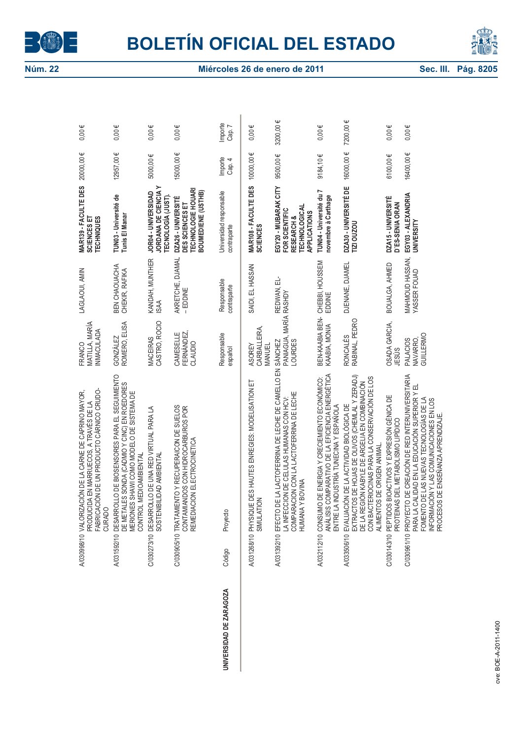



| A/03996/10 VALORIZACIÓN DE LA CARNE DE CAPRINO MAYOR,<br>PRODUCIDA EN MARRUECOS, A TRAVÉS DE LA<br>C/030905/10 TRATAMIENTO Y RECUPERAICON DE SUELOS<br>C/030273/10 DESARROLLO DE UNA RED VIRTUAL PARA LA<br>REMEDIACION ELECTROCINETICA<br>CONTROL MEDIOAMBIENTAL<br>SOSTENIBILIDAD AMBIENTAL<br>BOVINA<br>SIMULATION<br><b>HUMANAY</b><br>A/031268/10 PHYSIQUE<br><b>CURADO</b><br>Proyecto<br>Código<br>UNIVERSIDAD DE ZARAGOZA |                                                                                                                                                                                                                                | FRANCO                                   |                                 |                                                                                                     |                   |                   |
|-----------------------------------------------------------------------------------------------------------------------------------------------------------------------------------------------------------------------------------------------------------------------------------------------------------------------------------------------------------------------------------------------------------------------------------|--------------------------------------------------------------------------------------------------------------------------------------------------------------------------------------------------------------------------------|------------------------------------------|---------------------------------|-----------------------------------------------------------------------------------------------------|-------------------|-------------------|
|                                                                                                                                                                                                                                                                                                                                                                                                                                   | FABRICACIÓN DE UN PRODUCTO CÁRNICO CRUDO-                                                                                                                                                                                      | MATILLA, MARÍA<br><b>INMACULADA</b>      | LAGLAOUI, AMIN                  | MAR139 - FACULTE DES<br>SCIENCES ET<br><b>TECHNIQUES</b>                                            | 20000,00€         | $0,00 \in$        |
|                                                                                                                                                                                                                                                                                                                                                                                                                                   | A/03159210 DESARROLLO DE BIOSENSORES PARA EL SEGUIMIENTO<br>DE METALES SONDA (CADMIO Y CINC) EN ROEDORES<br>MERIONES SHAWI COMO MODELO DE SISTEMA DE                                                                           | ROMERO, ELISA<br><b>GONZÁLEZ</b>         | BEN CHAOUACHA<br>CHEKIR, RAFIKA | TUN03 - Université de<br>Tunis El Manar                                                             | 12957,00€         | $0,00 \in$        |
|                                                                                                                                                                                                                                                                                                                                                                                                                                   |                                                                                                                                                                                                                                | CASTRO, ROCIO<br><b>MACEIRAS</b>         | KANDAH, MUNTHER<br><b>ISAA</b>  | JORDANA DE CIENCIA Y<br>JOR04 - UNIVERSIDAD<br>TECNOLOGÍA (JUST)                                    | 5000,00€          | $0,00 \in$        |
|                                                                                                                                                                                                                                                                                                                                                                                                                                   | CONTAMIANDOS CON HIDROCARBUROS POR                                                                                                                                                                                             | FERNÁNDEZ,<br>CAMESELLE<br>CLAUDIO       | AKRETCHE, DJAMAL<br>-EDDINE     | <b>TECHNOLOGIE HOUAR</b><br>BOUMEDIENE (USTHB)<br>DZA26 - UNIVERSITÉ<br>DES SCIENCES ET             | 15000,00€         | $0,00 \in$        |
|                                                                                                                                                                                                                                                                                                                                                                                                                                   |                                                                                                                                                                                                                                | Responsable<br>español                   | Responsable<br>contraparte      | Universidad responsable<br>contraparte                                                              | Importe<br>Cap. 4 | Importe<br>Cap. 7 |
|                                                                                                                                                                                                                                                                                                                                                                                                                                   | DES HAUTES ENREGIES: MODELISATION ET                                                                                                                                                                                           | CARBALLEIRA,<br><b>ASOREY</b><br>MANUEL  | SAIDI, EL HASSAN                | MAR108 - FACULTE DES<br><b>SCIENCES</b>                                                             | 10000,00€         | $0,00 \in$        |
|                                                                                                                                                                                                                                                                                                                                                                                                                                   | A/031392/10 EFECTO DE LA LACTOFERRINA DE LECHE DE CAMELLO EN SÁNCHEZ<br>LA INFECCION DE CELULAS HUMANAS CON HCV:<br>COMPARACION CON LA LACTOFERRINA DE LECHE                                                                   | PANIAGUA, MARÍA RASHDY<br>LOURDES        | 급<br>REDWAN,                    | EGY20 - MUBARAK CITY<br><b>TECHNOLOGICAL</b><br>FOR SCIENTIFIC<br><b>APPLICATIONS</b><br>RESEARCH & | 9500,00€          | 3200,00 €         |
| A/032112/10 CONSUMO                                                                                                                                                                                                                                                                                                                                                                                                               | CONSUMO DE ENERGIA Y CRECIEMIENTO ECONÓMICO:<br>ANÁLISIS COMPARATIVO DE LA EFICIENCIA ENERGÉTICA<br>ENTRE LA INDUSTRÍA TUNECINA Y ESPAÑOLA                                                                                     | BEN-KAABIA BEN-<br>KAABIA, MONIA         | CHEBBI, HOUSSEM<br>EDDINE       | TUN04 - Université du 7<br>novembre à Carthage                                                      | $9184,10 \in$     | $0,00 \in$        |
| ALIMENTOS DE ORIGEN ANIMAL.<br>A/033506/10                                                                                                                                                                                                                                                                                                                                                                                        | EXTRACTOS DE HOJAS DE OLIVOS (CHEMLAL Y ZERADJ)<br>DE LA REGIÓN KABYLE DE ARGELIA EN COMBINACIÓN<br>CON BACTERIOCINAS PARA LA CONSERVACIÓN DE LOS<br>EVALUACIÓN DE LA ACTIVIDAD BIOLÓGICA DE                                   | RONCALÉS<br>RABINAL, PEDRO               | DJENANE, DJAMEI                 | DZA30 - UNIVERSITÉ DE<br>TIZI OUZOU                                                                 | 16000,00 €        | 7200,00 €         |
| C/030143/10 PEPTIDOS                                                                                                                                                                                                                                                                                                                                                                                                              | BIOACTIVOS Y EXPRESIÓN GÉNICA DE<br>PROTEINAS DEL METABOLISMO LIPÍDICO                                                                                                                                                         | OSADA GARCIA,<br>JESÚS                   | BOUALGA, AHMED                  | DZA15-UNIVERSITÉ<br>D'ES-SENIA ORAN                                                                 | 6100,00€          | $0,00 \in$        |
| <b>PROCESOS</b>                                                                                                                                                                                                                                                                                                                                                                                                                   | C/030961/10 PROYECTO DE CREACIÓN DE RED INTERUNIVERSITARIA<br>PARA LA CALIDAD EN LA EDUCACIÓN SUPERIOR Y EL<br>FOMENTO DE LAS NUEVAS TECNOLOGÍAS DE LA<br>INFORMACIÓN Y LAS COMUNICACIONES EN LOS<br>DE ENSEÑANZA APRENDIZAJE. | GUILLERMO<br>NAVARRO,<br><b>PALACIOS</b> | MAHMOUD HASSAN,<br>YASSER FOUAD | EGY03 - ALEXANDRIA<br><b>UNIVERSITY</b>                                                             | 16400,00€         | $0,00 \in$        |
| rve: ROE-4-2011-1400                                                                                                                                                                                                                                                                                                                                                                                                              |                                                                                                                                                                                                                                |                                          |                                 |                                                                                                     |                   |                   |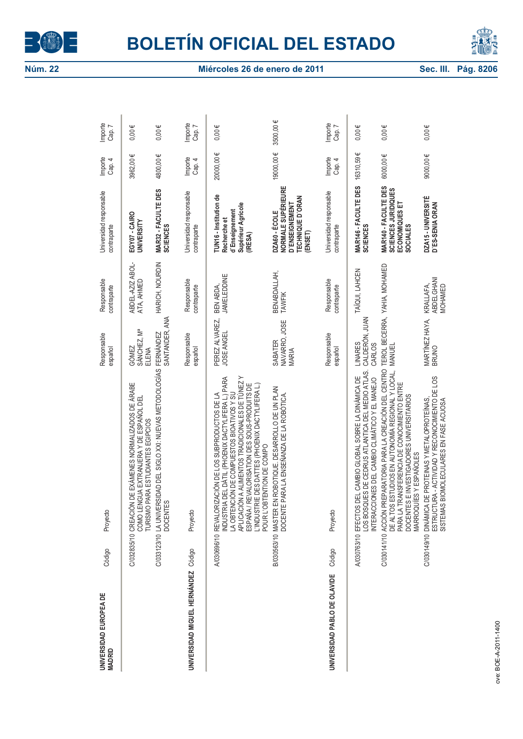



| UNIVERSIDAD EUROPEA DE<br><b>MADRID</b> | Código | Proyecto                                                                                                                                                                                                                                                                                                                                  | Responsable<br>español                            | Responsable<br>contraparte                | Universidad responsable<br>contraparte                                                                    | Importe<br>Cap. 4 | Importe<br>Cap. 7 |
|-----------------------------------------|--------|-------------------------------------------------------------------------------------------------------------------------------------------------------------------------------------------------------------------------------------------------------------------------------------------------------------------------------------------|---------------------------------------------------|-------------------------------------------|-----------------------------------------------------------------------------------------------------------|-------------------|-------------------|
|                                         |        | C/032835/10 CREACIÓN DE EXÁMENES NORMALIZADOS DE ÁRABE<br>COMO LENGUA EXTRANJERA Y DE ESPAÑOL DEL<br>TURISMO PARA ESTUDIANTES EGIPCIOS                                                                                                                                                                                                    | SÁNCHEZ, Mª<br>GÓMEZ<br>ELENA                     | ABDEL-AZIZ ABOL-<br>ATA, AHMED            | EGY07-CAIRO<br>UNIVERSITY                                                                                 | 3962,00€          | $0,00 \in$        |
|                                         |        | C/033123/10 LA UNIVERSIDAD DEL SIGLO XXI: NUEVAS METODOLOGÍAS<br><b>DOCENTES</b>                                                                                                                                                                                                                                                          | SANTANDER, ANA<br><b>FERNÁNDEZ</b>                | HARICH, NOURDIN                           | MAR32 - FACULTE DES<br><b>SCIENCES</b>                                                                    | 4800,00€          | $0,00 \in$        |
| UNIVERSIDAD MIGUEL HERNÁNDEZ            | Código | Proyecto                                                                                                                                                                                                                                                                                                                                  | Responsable<br>español                            | Responsable<br>contraparte                | Universidad responsable<br>contraparte                                                                    | Importe<br>Cap. 4 | Importe<br>Cap. 7 |
|                                         |        | APLICACIÓN A ALIMENTOS TRADICIONALES DE TÚNEZ Y<br>INDUSTRIA DEL DÁTIL (PHOENIX DACTYLIFERA L.) PARA<br>ESPAÑA / REVALORISATION DES SOUS-PRODUITS DE<br>L'INDUSTRIE DES DATTES (PHOENIX DACTYLIFERA L.)<br>LA OBTENCIÓN DE COMPUESTOS BIOATIVOS Y SU<br>A/030696/10 REVALORIZACIÓN DE LOS SUBPRODUCTOS DE LA<br>POUR L'OBTENTION DE COMPO | PEREZ ALVAREZ,<br>JOSE ANGEL                      | <b>JAMELEDDINE</b><br>BEN ABDA,           | TUN16 - Institution de<br>Supérieur Agricole<br>d'Enseignement<br>Recherche et<br>(IRESA)                 | 200000,00€        | $0,00 \in$        |
|                                         |        | B/030563/10 MASTER EN ROBOTIQUE. DESARROLLO DE UN PLAN<br>DOCENTE PARA LA ENSEÑANZA DE LA ROBÓTICA.                                                                                                                                                                                                                                       | NAVARRO, JOSE<br>SABATER<br><b>MARIA</b>          | BENABDALLAH,<br><b>TAWFIK</b>             | <b>NORMALE SUPÉRIEURE</b><br><b>TECHNIQUE D'ORAN</b><br><b>D'ENSEIGNEMENT</b><br>DZA60 - ÉCOLE<br>(ENSET) | 19000,00€         | 3500,00 €         |
| UNIVERSIDAD PABLO DE OLAVIDE            | Código | Proyecto                                                                                                                                                                                                                                                                                                                                  | Responsable<br>español                            | Responsable<br>contraparte                | Universidad responsable<br>contraparte                                                                    | Importe<br>Cap. 4 | Importe<br>Cap. 7 |
|                                         |        | LOS BOSQUES DE CEDRUS ATLANTICA DEL MEDIO ATLAS.<br>INTERACCIONES DEL CAMBIO CLIMÁTICO Y EL MANEJO<br>DEL CAMBIO GLOBAL SOBRE LA DINÁMICA DE<br>A/030763/10 EFECTOS                                                                                                                                                                       | CALDERÓN, JUAN<br><b>LINARES</b><br><b>CARLOS</b> | TAÏQUI, LAHCEN                            | <b>MAR146 - FACULTE DES<br/>SCIENCES</b>                                                                  | 16310,59€         | $0,00 \in$        |
|                                         |        | C/030141/10 ACCIÓN PREPARATORIA PARA LA CREACIÓN DEL CENTRO<br>ESTUDIOS EN AUTONOMÍA REGIONAL Y LOCAL,<br>PARA LA TRANSFERENCIA DE CONOCIMIENTO ENTRE<br>DOCENTES E INVESTIGADORES UNIVERSITARIOS<br>MARROQUÍES Y ESPAÑOLES<br>DE ALTOS                                                                                                   | <b>MANUEL</b>                                     | TEROL BECERRA, YAHIA, MOHAMED             | MAR140 - FACULTE DES<br>SCIENCES<br>JURIDIQUES<br>ECONOMIQUES ET<br><b>SOCIALES</b>                       | 6000,00€          | $0,00 \in$        |
|                                         |        | ESTRUCTURA - ACTIVIDAD Y RECONOCIMIENTO DE LOS<br>C/030149/10 DINÁMICA DE PROTEINAS Y METALOPROTEÍNAS,<br>BIOMOLECULARES EN FASE ACUOSA<br><b>SISTEMAS</b>                                                                                                                                                                                | MARTÍNEZ HAYA,<br>BRUNO                           | <b>ABDELGHANI</b><br>KRALLAFA,<br>MOHAMED | DZA15 - UNIVERSITÉ<br>D'ES-SENIA ORAN                                                                     | 9000,00€          | $0,00 \in$        |
|                                         |        |                                                                                                                                                                                                                                                                                                                                           |                                                   |                                           |                                                                                                           |                   |                   |
| rve: ROE-4-2011-1400                    |        |                                                                                                                                                                                                                                                                                                                                           |                                                   |                                           |                                                                                                           |                   |                   |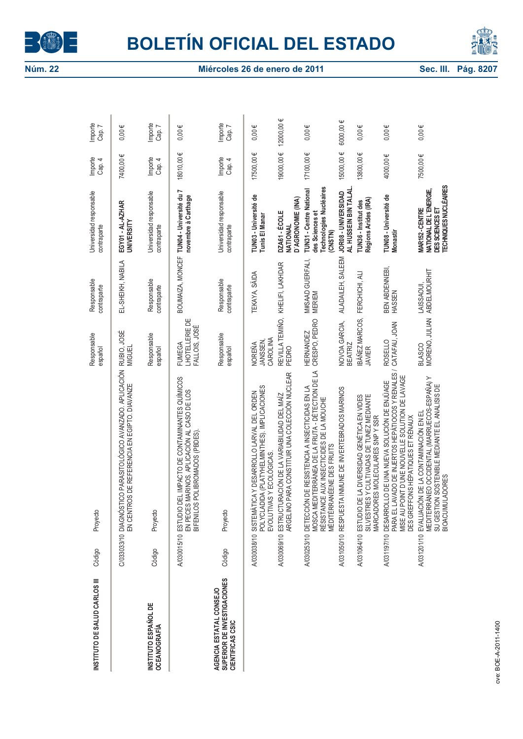



| INSTITUTO DE SALUD CARLOS III                                              | Código | Proyecto                                                                                                                                                                                             | Responsable<br>español                           | Responsable<br>contraparte        | Universidad responsable<br>contraparte                                                  | Importe<br>Cap. 4 | Importe<br>Cap. 7 |
|----------------------------------------------------------------------------|--------|------------------------------------------------------------------------------------------------------------------------------------------------------------------------------------------------------|--------------------------------------------------|-----------------------------------|-----------------------------------------------------------------------------------------|-------------------|-------------------|
|                                                                            |        | C/033033/10 DIAGNÓSTICO PARASITOLÓGICO AVANZADO. APLICACIÓN<br>EN CENTROS DE REFERENCIA EN EGIPTO. DIAVANZE                                                                                          | RUBIO, JOSÉ<br>MIGUEL                            | EL-SHEIKH, NABILA                 | EGY01 - AL-AZHAR<br>UNIVERSITY                                                          | 7400,00€          | $0,00 \in$        |
| <b>INSTITUTO ESPAÑOL DE</b><br><b>OCEANOGRAFÍA</b>                         | Código | Proyecto                                                                                                                                                                                             | Responsable<br>español                           | Responsable<br>contraparte        | Universidad responsable<br>contraparte                                                  | Importe<br>Cap. 4 | Importe<br>Cap. 7 |
|                                                                            |        | DEL IMPACTO DE CONTAMINANTES QUÍMICOS<br>EN PECES MARINOS. APLICACIÓN AL CASO DE LOS<br>BIFENILOS POLIBROMADOS (PBDES)<br>A/030015/10 ESTUDIO                                                        | <b>LHOTELLERIE DE</b><br>FALLOIS, JOSÉ<br>FUMEGA |                                   | BOUMAIZA, MONCEF TUN04 - Université du 7<br>novembre à Carthage                         | 18010,00€         | $0,00 \in$        |
| SUPERIOR DE INVESTIGACIONES<br>AGENCIA ESTATAL CONSEJO<br>CIENTIFICAS CSIC | Código | Proyecto                                                                                                                                                                                             | Responsable<br>español                           | Responsable<br>contraparte        | Universidad responsable<br>contraparte                                                  | Importe<br>Cap. 4 | Importe<br>Cap. 7 |
|                                                                            |        | POLYCLADIDA (PLATYHELMINTHES). IMPLICACIONES<br>A/030038/10 SISTEMÁTICA Y DESARROLLO LARVAL DEL ORDEN<br>EVOLUTIVAS Y ECOLÓGICAS.                                                                    | CAROLINA<br>JANSSEN<br>NOREÑA                    | <b>TEKAYA, SÄIDA</b>              | TUNO3 - Université de<br>Tunis El Manar                                                 | 17500,00€         | $0,00 \in$        |
|                                                                            |        | ARGELINO PARA CONSTITUIR UNA COLECCIÓN NUCLEAR<br>A/030069/10 ESTRUCTURACIÓN DE LA VARIABILIDAD DEL MAÍZ                                                                                             | REVILLA TEMIÑO,<br>PEDRO                         | KHELIFI, LAKHDAR                  | D'AGRONOMIE (INA)<br>DZA61 - ÉCOLE<br>NATIONAL                                          | 19000,00€         | 12000,00€         |
|                                                                            |        | MOSCA MEDITERRÁNEA DE LA FRUTA - DÉTECTION DE LA<br>A/030253/10 DETECCIÓN DE RESISTENCIA A INSECTICIDAS EN LA<br>RÉSISTANCE AUX INSECTICIDES DE LA MOUCHE<br>MÉDITÉRRANÉENE DES FRUITS               | CRESPO, PEDRO<br><b>HERNANDEZ</b>                | M#SAAD GUERFALI,<br><b>MERIEM</b> | Technologies Nucléaires<br><b>TUN31 - Centre National</b><br>des Sciences et<br>(CNSTN) | 17100,00€         | $0,00 \in$        |
|                                                                            |        | A/031050/10 RESPUESTA INMUNE DE INVERTEBRADOS MARINOS                                                                                                                                                | NOVOA GARCIA,<br><b>BEATRIZ</b>                  | ALADAILEH, SALEEM                 | AL HUSSEIN BIN TALAL.<br>JOR08 - UNIVERSIDAD                                            | 15000,00€         | 6000,00 €         |
|                                                                            |        | SILVESTRES Y CULTIVADAS DE TUNEZ MEDIANTE<br>MARCADORES MOLECULARES SNP Y SSR<br>A/031064/10 ESTUDIO DE LA DIVERSIDAD GENÉTICA EN VIDES                                                              | <b>IBÁÑEZ MARCOS,</b><br><b>JAVIER</b>           | FERCHICHI, ALI                    | Régions Arides (IRA)<br>TUN36 - Institut des                                            | 13800,00€         | $0,00 \in$        |
|                                                                            |        | PARA EL LAVADO DE INJERTOS HEPÁTIOCOS Y RENALES /<br>MISE AU POINT D'UNE NOUVELLE SOLUTION DE LAVAGE<br>A/031197/10 DESARROLLO DE UNA NUEVA SOLUCIÓN DE ENJÜAGE<br>DES GREFFONS HÉPATIQUES ET RÉNAUX | CATAFAU, JOAN<br><b>ROSELLO</b>                  | BEN ABDENNEBI,<br>HASSEN          | TUN08 - Université de<br><b>Monastir</b>                                                | 4000,00€          | $0,00 \in$        |
|                                                                            |        | MEDITERRÁNEO OCCIDENTAL (MARRUECOS-ESPAÑA) Y<br>SU GESTION SOSTENIBLE MEDIANTE EL ANALISIS DE<br>A/031201/10 EVALUACIÓN DE LA CONTAMINACIÓN EN EL<br><b>BIOACUMULADORES</b>                          | MORENO, JULIAN ABDELMOURHIT<br><b>BLASCO</b>     | LAISSAOUI,                        | TECHNIQUES NUCLÉAIRES<br>NATIONAL DE L'ENERGIE,<br>MAR152-CENTRE<br>DES SCIENCES ET     | 7500,00€          | $0,00 \in$        |
| nve: ROE-4-2011-1400                                                       |        |                                                                                                                                                                                                      |                                                  |                                   |                                                                                         |                   |                   |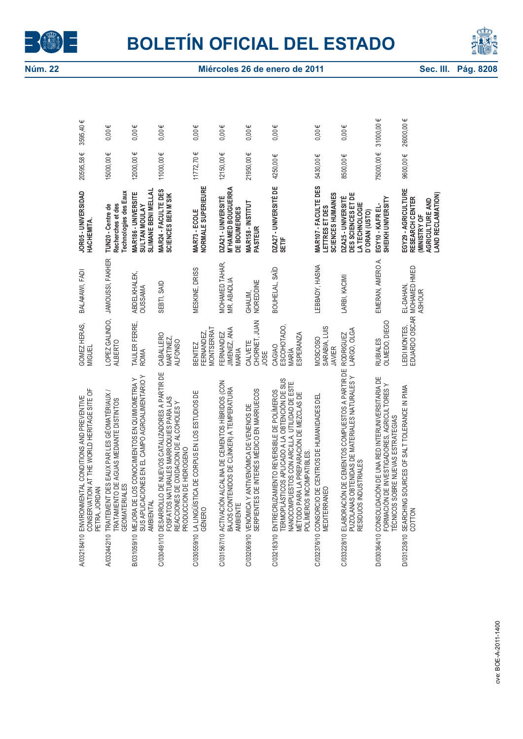



|                     | GOMEZ HERAS,<br><b>MIGUEL</b><br>ENVIRONMENTAL CONDITIONS AND PREVENTIVE<br>CONSERVATION AT THE WORLD HERITAGE SITE OF<br>A/032184/10                                                                                                                                               |                          | BALA#AWI, FADI                                    | JOR05 - UNIVERSIDAD<br>HACHEMITA.                                                                    | 20595,58€      | 3595,40€   |
|---------------------|-------------------------------------------------------------------------------------------------------------------------------------------------------------------------------------------------------------------------------------------------------------------------------------|--------------------------|---------------------------------------------------|------------------------------------------------------------------------------------------------------|----------------|------------|
|                     | <b>ALBERTO</b><br>TRAITEMENT DES EAUX PAR LES GÉOMATÉRIAUX /<br>TRATAMIENTO DE AGUAS MEDIANTE DISTINTOS<br><b>GEOMATERIALES</b><br><b>JORDAN</b><br>PETRA,<br>A/032442/10                                                                                                           |                          | LOPEZ GALINDO, JAMOUSSI, FAKHER                   | Technologies des Eaux<br>Recherches et des<br>TUN20 - Centre de                                      | 15000,00€      | $0,00 \in$ |
|                     | TAULER FERRE,<br><b>ROMA</b><br>MEJORA DE LOS CONOCIMIENTOS EN QUIMIOMETRIA Y<br>SUS APLICACIONES EN EL CAMPO AGROALIMENTARIO Y<br>AMBIENTAL<br>B/031059/10                                                                                                                         |                          | ABDELKHALEK,<br><b>OUSSAMA</b>                    | <b>SLIMANE BENI MELLAL</b><br>MAR186 - UNIVERSITE<br><b>SULTAN MOULAY</b>                            | 12000,00€      | $0,00 \in$ |
|                     | CABALLERO<br>MARTINEZ,<br><b>ALFONSO</b><br>C/030491/10 DESARROLLO DE NUEVOS CATALIZADORES A PARTIR DE<br>FOSFATOS NATURALES MARROQUIES PARA LAS<br>REACCIONES DE OXIDACION DE ALCOHOLES Y<br>PRODUCCION DE HIDROGENO                                                               |                          | SEBTI, SAID                                       | MAR24 - FACULTE DES<br><b>SCIENCES BEN M'SIK</b>                                                     | 11000,00€      | $0,00 \in$ |
|                     | MONTSERRAT<br>FERNANDEZ,<br><b>BENITEZ</b><br>C/030559/10 LA LINGÜÍSTICA DE CORPUS EN LOS ESTUDIOS DE<br>GÉNERO                                                                                                                                                                     |                          | MESKINE, DRISS                                    | NORMALE SUPERIEURE<br>MAR73-ECOLE                                                                    | $11772,70 \in$ | $0,00 \in$ |
|                     | <b>JIMENEZ, ANA</b><br><b>FERNANDEZ</b><br>MARIA<br>C/031567/10_ACTIVACIÓN ALCALINA DE CEMENTOS HÍBRIDOS (CON<br>ACOSTOS CONTENIDOS DE CLÍNKER) A TEMPERATURA<br>AMBIENTE                                                                                                           |                          | MOHAMED TAHAR,<br>MR. ABADLIA                     | <b>M'HAMED BOUGUERRA</b><br>DZA21 - UNIVERSITÉ<br>DE BOUMERDES                                       | 12150,00€      | $0,00 \in$ |
|                     | JOSE<br>VENÓMICA Y ANTIVENÓMICA DE VENENOS DE<br>SERPIENTES DE INTERÉS MÉDICO EN MARRUECOS<br>C/032069/10                                                                                                                                                                           | CALVETE<br>CHORNET, JUAN | GHALIM,<br>NOREDDINE                              | MAR158 - INSTITUT<br><b>PASTEUR</b>                                                                  | 21950,00€      | $0,00 \in$ |
|                     | ESCOHOTADO,<br><b>ESPERANZA</b><br>CAGIAO<br>MARÍA<br>TERMOPLÁSTICOS APLICADO A LA OBTENCIÓN DE SUS<br>NANOCOMPUESTOS CON ARCILLA. UTILIDAD DE ESTE<br>C/032183/10 ENTRECRUZAMIENTO REVERSIBLE DE POLÍMEROS<br>MÉTODO PARA LA PREPARACIÓN DE MEZCLAS DE<br>POLÍMEROS INCOMPATIBLES. |                          | BOUHELAL, SAÏD                                    | DZA27 - UNIVERSITÉ DE<br>SETIF                                                                       | 4250,00€       | $0,00 \in$ |
|                     | SARABIA, LUIS<br>MOSCOSO<br><b>JAVIER</b><br>CONSORCIO DE CENTROS DE HUMANIDADES DEL<br><b>MEDITERRANEO</b><br>C/032376/10                                                                                                                                                          |                          | LEBBADY, HASNA                                    | MAR107 - FACULTE DES<br>SCIENCES HUMAINES<br>LETTRES ET DES                                          | 5430,00€       | $0,00 \in$ |
|                     | LARGO, OLGA<br><b>RODRIGUEZ</b><br>C/03228/10 ELABORACIÓN DE CEMENTOS COMPUESTOS A PARTIR DE<br>PUZOLANAS OBTENIDAS DE MATERIALES NATURALES Y<br>RESIDUOS INDUSTRIALES                                                                                                              |                          | LARBI, KACIMI                                     | DES SCIENCES ET DE<br>DZA25-UNIVERSITÉ<br>LA TECHNOLOGIE<br>D'ORAN (USTO)                            | 8500,00€       | $0,00 \in$ |
|                     | RUBIALES<br>OLMEDO, DIEGO<br>D/030364/10 CONSOLIDACIÓN DE UNA RED INTERUNIVERSITARIA DE<br>FORMACIÓN DE INVESTIGADORES, AGRICULTORES Y<br>TÉCNICOS SOBRE NUEVAS ESTRATEGIAS                                                                                                         |                          | EMERAN, AMERO A.                                  | EGY10 - KAFR EL-<br>SHEIKH UNIVERSITY                                                                | 75000,00€      | 31000,00€  |
|                     | LEIDI MONTES,<br>D/031238/10 SEARCHING SOURCES OF SALT TOLERANCE IN PIMA<br>COTTON                                                                                                                                                                                                  |                          | EDUARDO OSCAR MOHAMED HMED<br>EL-DAHAN,<br>ASHOUR | EGY29 - AGRICULTURE<br>LAND RECLAMATION)<br>RESEARCH CENTER<br>AGRICULTURE AND<br><b>MINISTRY OF</b> | 9600,00€       | 26000,00€  |
|                     |                                                                                                                                                                                                                                                                                     |                          |                                                   |                                                                                                      |                |            |
| ve: ROE-4-2011-1400 |                                                                                                                                                                                                                                                                                     |                          |                                                   |                                                                                                      |                |            |